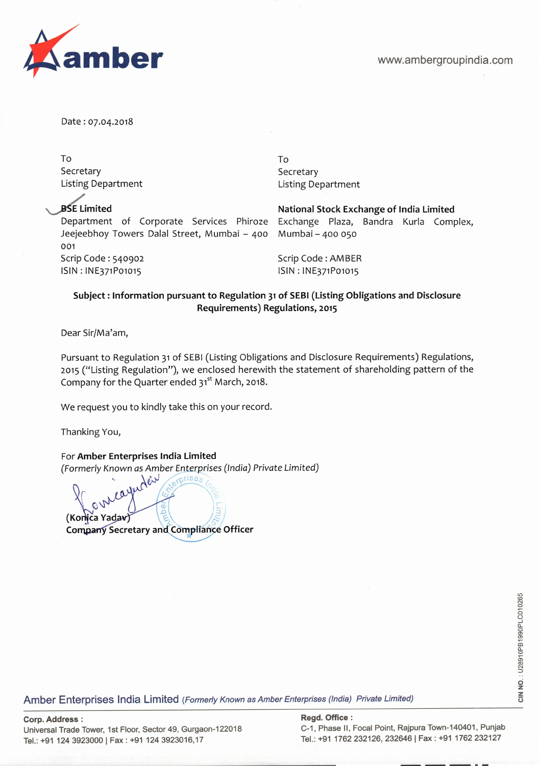

Date: 07.04.2018

To To Secretary Secretary Secretary Listing Department Listing Department

Department of Corporate Services Phiroze Exchange Plaza, Bandra Kurla Complex, Jeejeebhoy Towers Dalal Street, Mumbai — 400 Mumbai — 400 050 001 Scrip Code: 540902 Scrip Code: AMBER lSlN:lNE371Po1o15 ISIN:lNE371Po1o15

**BSE Limited National Stock Exchange of India Limited** 

## **Subject: Information pursuant to Regulation 31 of SEBI (Listing Obligations and Disclosure Requirements) Regulations, 2015**

Dear Sir/Ma'am,

Pursuant to Regulation 31 of SEBI (Listing Obligations and Disclosure Requirements) Regulations, 2015 ("Listing Regulation"), we enclosed herewith the statement of shareholding pattern of the Company for the Quarter ended  $31<sup>st</sup>$  March, 2018.

We request you to kindly take this on your record.

Thanking You,

For **Amber Enterprises India Limited**  (Formerly Known as Amber Enterprises (India) Private Limited)

carbed in *(Konica Yadav)* **Company Secretary and Compliance Officer** 

/

Amber Enterprises India Limited (Formerly Known as Amber Enterprises (India) Private Limited)

**Corp. Address: Regd. Office:**  Universal Trade Tower, 1st Floor, Sector 49, Gurgaon-122018 Tel.: +91 124 3923000 | Fax: +91 124 3923016,17 Tel.: +91 1762 232126, 232646 | Fax: +91 1762 232127

**CIN NO.** : U28910PB1990PLC010265 CIN NO.: U28910PB1990PLC010265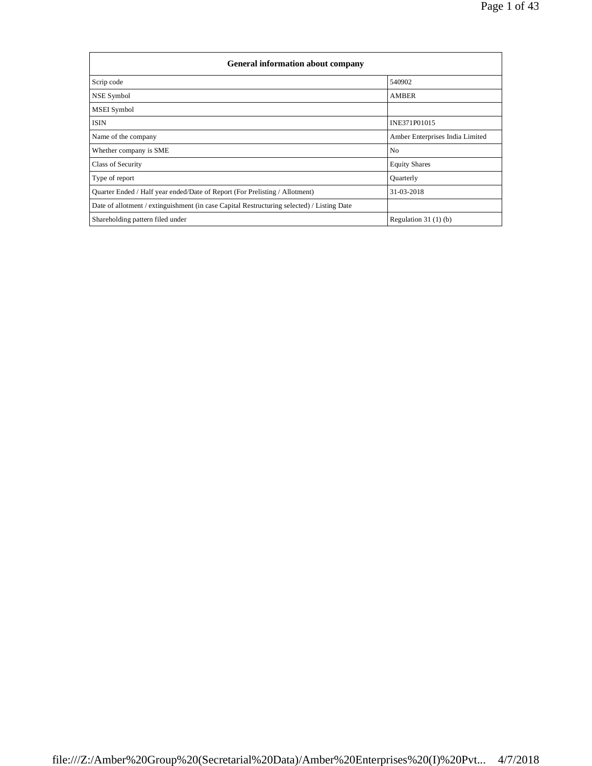| <b>General information about company</b>                                                   |                                 |
|--------------------------------------------------------------------------------------------|---------------------------------|
| Scrip code                                                                                 | 540902                          |
| NSE Symbol                                                                                 | <b>AMBER</b>                    |
| MSEI Symbol                                                                                |                                 |
| <b>ISIN</b>                                                                                | INE371P01015                    |
| Name of the company                                                                        | Amber Enterprises India Limited |
| Whether company is SME                                                                     | N <sub>0</sub>                  |
| Class of Security                                                                          | <b>Equity Shares</b>            |
| Type of report                                                                             | Quarterly                       |
| Quarter Ended / Half year ended/Date of Report (For Prelisting / Allotment)                | 31-03-2018                      |
| Date of allotment / extinguishment (in case Capital Restructuring selected) / Listing Date |                                 |
| Shareholding pattern filed under                                                           | Regulation $31(1)(b)$           |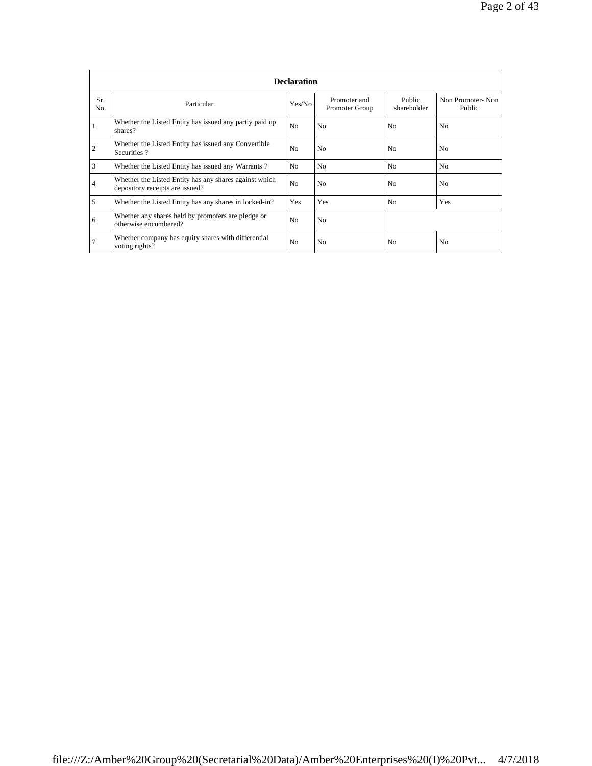|                | <b>Declaration</b>                                                                        |                |                                |                       |                            |  |  |  |  |
|----------------|-------------------------------------------------------------------------------------------|----------------|--------------------------------|-----------------------|----------------------------|--|--|--|--|
| Sr.<br>No.     | Particular                                                                                | Yes/No         | Promoter and<br>Promoter Group | Public<br>shareholder | Non Promoter-Non<br>Public |  |  |  |  |
|                | Whether the Listed Entity has issued any partly paid up<br>shares?                        | N <sub>o</sub> | N <sub>0</sub>                 | N <sub>0</sub>        | N <sub>0</sub>             |  |  |  |  |
| $\overline{2}$ | Whether the Listed Entity has issued any Convertible<br>Securities?                       | N <sub>0</sub> | N <sub>0</sub>                 | N <sub>0</sub>        | N <sub>0</sub>             |  |  |  |  |
| 3              | Whether the Listed Entity has issued any Warrants?                                        | N <sub>0</sub> | N <sub>0</sub>                 | N <sub>0</sub>        | No                         |  |  |  |  |
| 4              | Whether the Listed Entity has any shares against which<br>depository receipts are issued? | N <sub>o</sub> | N <sub>0</sub>                 | N <sub>0</sub>        | N <sub>0</sub>             |  |  |  |  |
| 5              | Whether the Listed Entity has any shares in locked-in?                                    | Yes            | Yes                            | N <sub>o</sub>        | Yes                        |  |  |  |  |
| 6              | Whether any shares held by promoters are pledge or<br>otherwise encumbered?               | N <sub>o</sub> | N <sub>0</sub>                 |                       |                            |  |  |  |  |
|                | Whether company has equity shares with differential<br>voting rights?                     | N <sub>0</sub> | N <sub>0</sub>                 | N <sub>0</sub>        | N <sub>0</sub>             |  |  |  |  |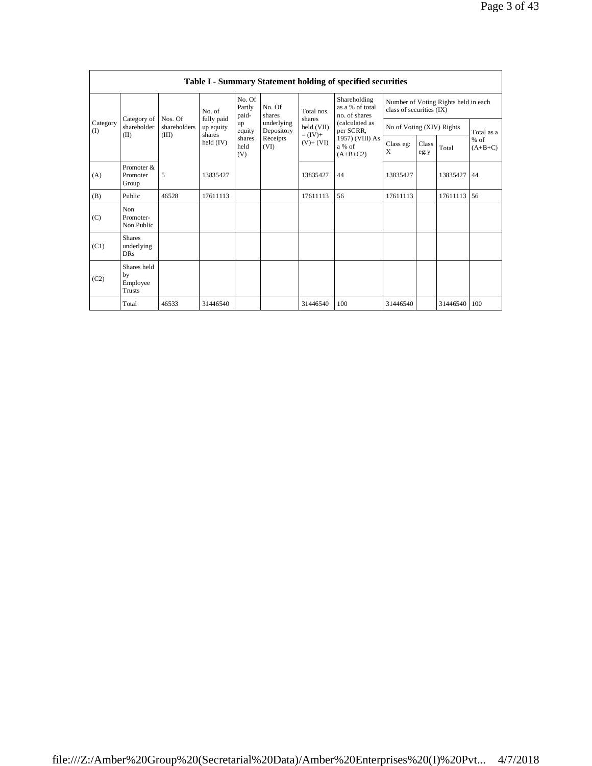|                 |                                                |                         |                         |                           |                          |                         | Table I - Summary Statement holding of specified securities |                           |               |                                      |                     |
|-----------------|------------------------------------------------|-------------------------|-------------------------|---------------------------|--------------------------|-------------------------|-------------------------------------------------------------|---------------------------|---------------|--------------------------------------|---------------------|
|                 |                                                |                         | No. of                  | No. Of<br>Partly<br>paid- | No. Of<br>shares         | Total nos.              | Shareholding<br>as a % of total<br>no. of shares            | class of securities (IX)  |               | Number of Voting Rights held in each |                     |
| Category<br>(1) | Category of<br>shareholder                     | Nos. Of<br>shareholders | fully paid<br>up equity | up<br>equity              | underlying<br>Depository | shares<br>held (VII)    | (calculated as<br>per SCRR,                                 | No of Voting (XIV) Rights |               |                                      | Total as a          |
|                 | (II)                                           | (III)                   | shares<br>held $(IV)$   | shares<br>held<br>(V)     | Receipts<br>(VI)         | $=$ (IV)+<br>$(V)+(VI)$ | 1957) (VIII) As<br>a % of<br>$(A+B+C2)$                     | Class eg:<br>X            | Class<br>eg:y | Total                                | $%$ of<br>$(A+B+C)$ |
| (A)             | Promoter &<br>Promoter<br>Group                | 5                       | 13835427                |                           |                          | 13835427                | 44                                                          | 13835427                  |               | 13835427                             | 44                  |
| (B)             | Public                                         | 46528                   | 17611113                |                           |                          | 17611113                | 56                                                          | 17611113                  |               | 17611113                             | 56                  |
| (C)             | Non<br>Promoter-<br>Non Public                 |                         |                         |                           |                          |                         |                                                             |                           |               |                                      |                     |
| (C1)            | <b>Shares</b><br>underlying<br><b>DRs</b>      |                         |                         |                           |                          |                         |                                                             |                           |               |                                      |                     |
| (C2)            | Shares held<br>by<br>Employee<br><b>Trusts</b> |                         |                         |                           |                          |                         |                                                             |                           |               |                                      |                     |
|                 | Total                                          | 46533                   | 31446540                |                           |                          | 31446540                | 100                                                         | 31446540                  |               | 31446540   100                       |                     |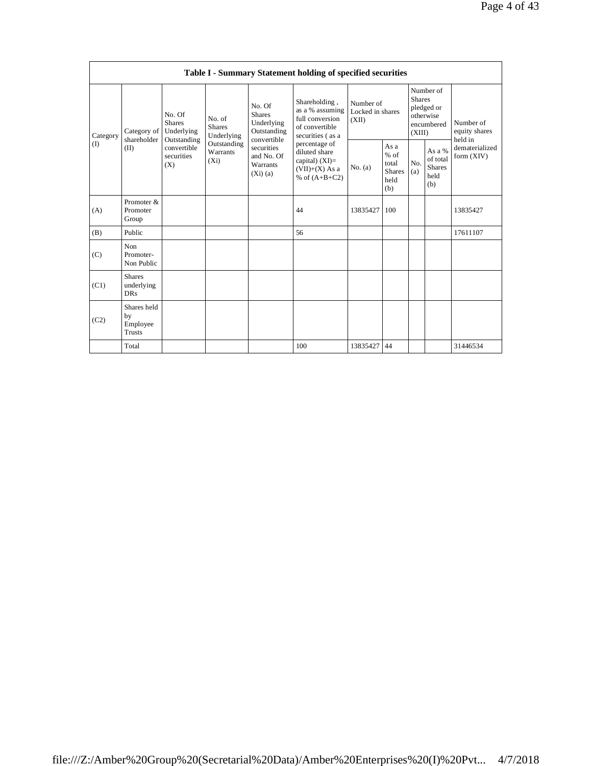|          |                                                |                                                      |                                       |                                                                     | Table I - Summary Statement holding of specified securities                                |                                        |                                                         |                         |                                                    |                                       |
|----------|------------------------------------------------|------------------------------------------------------|---------------------------------------|---------------------------------------------------------------------|--------------------------------------------------------------------------------------------|----------------------------------------|---------------------------------------------------------|-------------------------|----------------------------------------------------|---------------------------------------|
| Category | Category of<br>shareholder                     | No. Of<br><b>Shares</b><br>Underlying<br>Outstanding | No. of<br><b>Shares</b><br>Underlying | No. Of<br><b>Shares</b><br>Underlying<br>Outstanding<br>convertible | Shareholding,<br>as a % assuming<br>full conversion<br>of convertible<br>securities (as a  | Number of<br>Locked in shares<br>(XII) |                                                         | <b>Shares</b><br>(XIII) | Number of<br>pledged or<br>otherwise<br>encumbered | Number of<br>equity shares<br>held in |
| (I)      | (II)                                           | convertible<br>securities<br>(X)                     | Outstanding<br>Warrants<br>$(X_i)$    | securities<br>and No. Of<br>Warrants<br>(Xi)(a)                     | percentage of<br>diluted share<br>capital) $(XI)$ =<br>$(VII)+(X)$ As a<br>% of $(A+B+C2)$ | No. (a)                                | As a<br>$%$ of<br>total<br><b>Shares</b><br>held<br>(b) | No.<br>(a)              | As a %<br>of total<br><b>Shares</b><br>held<br>(b) | dematerialized<br>form (XIV)          |
| (A)      | Promoter &<br>Promoter<br>Group                |                                                      |                                       |                                                                     | 44                                                                                         | 13835427                               | 100                                                     |                         |                                                    | 13835427                              |
| (B)      | Public                                         |                                                      |                                       |                                                                     | 56                                                                                         |                                        |                                                         |                         |                                                    | 17611107                              |
| (C)      | Non<br>Promoter-<br>Non Public                 |                                                      |                                       |                                                                     |                                                                                            |                                        |                                                         |                         |                                                    |                                       |
| (C1)     | <b>Shares</b><br>underlying<br><b>DRs</b>      |                                                      |                                       |                                                                     |                                                                                            |                                        |                                                         |                         |                                                    |                                       |
| (C2)     | Shares held<br>by<br>Employee<br><b>Trusts</b> |                                                      |                                       |                                                                     |                                                                                            |                                        |                                                         |                         |                                                    |                                       |
|          | Total                                          |                                                      |                                       |                                                                     | 100                                                                                        | 13835427                               | 44                                                      |                         |                                                    | 31446534                              |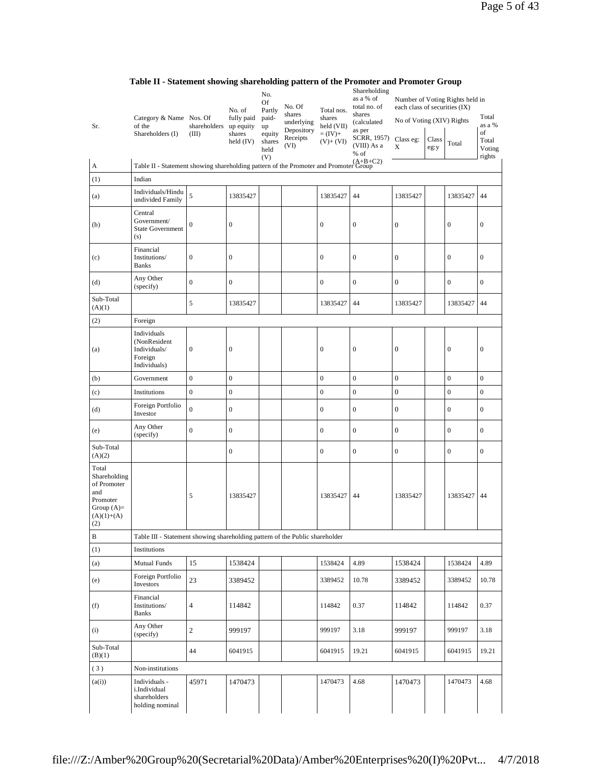|                                                                                                | Category & Name Nos. Of                                                              |                       | No. of<br>fully paid               | No.<br>Of<br>Partly<br>paid-          | No. Of<br>shares                             | Total nos.<br>shares                 | Shareholding<br>as a % of<br>total no. of<br>shares         | each class of securities (IX)               |               | Number of Voting Rights held in | Total                                     |
|------------------------------------------------------------------------------------------------|--------------------------------------------------------------------------------------|-----------------------|------------------------------------|---------------------------------------|----------------------------------------------|--------------------------------------|-------------------------------------------------------------|---------------------------------------------|---------------|---------------------------------|-------------------------------------------|
| Sr.                                                                                            | of the<br>Shareholders (I)                                                           | shareholders<br>(III) | up equity<br>shares<br>held $(IV)$ | up<br>equity<br>shares<br>held<br>(V) | underlying<br>Depository<br>Receipts<br>(VI) | held (VII)<br>$=(IV)+$<br>$(V)+(VI)$ | (calculated<br>as per<br>SCRR, 1957)<br>(VIII) As a<br>% of | No of Voting (XIV) Rights<br>Class eg:<br>X | Class<br>eg:y | Total                           | as a %<br>of<br>Total<br>Voting<br>rights |
| A                                                                                              | Table II - Statement showing shareholding pattern of the Promoter and Promoter Group |                       |                                    |                                       |                                              |                                      |                                                             |                                             |               |                                 |                                           |
| (1)                                                                                            | Indian                                                                               |                       |                                    |                                       |                                              |                                      |                                                             |                                             |               |                                 |                                           |
| (a)                                                                                            | Individuals/Hindu<br>undivided Family                                                | 5                     | 13835427                           |                                       |                                              | 13835427                             | 44                                                          | 13835427                                    |               | 13835427                        | 44                                        |
| (b)                                                                                            | Central<br>Government/<br><b>State Government</b><br>(s)                             | $\boldsymbol{0}$      | $\boldsymbol{0}$                   |                                       |                                              | $\boldsymbol{0}$                     | $\boldsymbol{0}$                                            | $\boldsymbol{0}$                            |               | $\boldsymbol{0}$                | $\boldsymbol{0}$                          |
| (c)                                                                                            | Financial<br>Institutions/<br><b>Banks</b>                                           | $\mathbf{0}$          | $\boldsymbol{0}$                   |                                       |                                              | $\boldsymbol{0}$                     | $\boldsymbol{0}$                                            | $\boldsymbol{0}$                            |               | $\mathbf{0}$                    | $\mathbf{0}$                              |
| (d)                                                                                            | Any Other<br>(specify)                                                               | $\boldsymbol{0}$      | $\boldsymbol{0}$                   |                                       |                                              | $\boldsymbol{0}$                     | $\overline{0}$                                              | $\mathbf{0}$                                |               | $\mathbf{0}$                    | $\mathbf{0}$                              |
| Sub-Total<br>(A)(1)                                                                            |                                                                                      | 5                     | 13835427                           |                                       |                                              | 13835427                             | 44                                                          | 13835427                                    |               | 13835427                        | 44                                        |
| (2)                                                                                            | Foreign                                                                              |                       |                                    |                                       |                                              |                                      |                                                             |                                             |               |                                 |                                           |
| (a)                                                                                            | Individuals<br>(NonResident<br>Individuals/<br>Foreign<br>Individuals)               | $\boldsymbol{0}$      | $\boldsymbol{0}$                   |                                       |                                              | $\boldsymbol{0}$                     | $\boldsymbol{0}$                                            | $\boldsymbol{0}$                            |               | $\boldsymbol{0}$                | $\boldsymbol{0}$                          |
| (b)                                                                                            | Government                                                                           | $\mathbf{0}$          | $\boldsymbol{0}$                   |                                       |                                              | $\boldsymbol{0}$                     | $\boldsymbol{0}$                                            | $\boldsymbol{0}$                            |               | $\boldsymbol{0}$                | $\overline{0}$                            |
| (c)                                                                                            | Institutions                                                                         | $\boldsymbol{0}$      | $\boldsymbol{0}$                   |                                       |                                              | $\boldsymbol{0}$                     | $\boldsymbol{0}$                                            | $\boldsymbol{0}$                            |               | $\boldsymbol{0}$                | $\boldsymbol{0}$                          |
| (d)                                                                                            | Foreign Portfolio<br>Investor                                                        | $\overline{0}$        | $\boldsymbol{0}$                   |                                       |                                              | $\boldsymbol{0}$                     | $\boldsymbol{0}$                                            | $\mathbf{0}$                                |               | $\boldsymbol{0}$                | $\boldsymbol{0}$                          |
| (e)                                                                                            | Any Other<br>(specify)                                                               | $\mathbf{0}$          | $\boldsymbol{0}$                   |                                       |                                              | $\boldsymbol{0}$                     | $\boldsymbol{0}$                                            | $\boldsymbol{0}$                            |               | $\boldsymbol{0}$                | $\boldsymbol{0}$                          |
| Sub-Total<br>(A)(2)                                                                            |                                                                                      |                       | $\boldsymbol{0}$                   |                                       |                                              | $\boldsymbol{0}$                     | $\boldsymbol{0}$                                            | $\boldsymbol{0}$                            |               | $\boldsymbol{0}$                | $\boldsymbol{0}$                          |
| Total<br>Shareholding<br>of Promoter<br>and<br>Promoter<br>Group $(A)=$<br>$(A)(1)+(A)$<br>(2) |                                                                                      | 5                     | 13835427                           |                                       |                                              | 13835427                             | 44                                                          | 13835427                                    |               | 13835427                        | 44                                        |
| $\, {\bf B}$                                                                                   | Table III - Statement showing shareholding pattern of the Public shareholder         |                       |                                    |                                       |                                              |                                      |                                                             |                                             |               |                                 |                                           |
| (1)                                                                                            | Institutions                                                                         |                       |                                    |                                       |                                              |                                      |                                                             |                                             |               |                                 |                                           |
| (a)                                                                                            | <b>Mutual Funds</b>                                                                  | 15                    | 1538424                            |                                       |                                              | 1538424                              | 4.89                                                        | 1538424                                     |               | 1538424                         | 4.89                                      |
| (e)                                                                                            | Foreign Portfolio<br>Investors                                                       | 23                    | 3389452                            |                                       |                                              | 3389452                              | 10.78                                                       | 3389452                                     |               | 3389452                         | 10.78                                     |
| (f)                                                                                            | Financial<br>Institutions/<br><b>Banks</b>                                           | $\overline{4}$        | 114842                             |                                       |                                              | 114842                               | 0.37                                                        | 114842                                      |               | 114842                          | 0.37                                      |
| (i)                                                                                            | Any Other<br>(specify)                                                               | $\sqrt{2}$            | 999197                             |                                       |                                              | 999197                               | 3.18                                                        | 999197                                      |               | 999197                          | 3.18                                      |
| Sub-Total<br>(B)(1)                                                                            |                                                                                      | 44                    | 6041915                            |                                       |                                              | 6041915                              | 19.21                                                       | 6041915                                     |               | 6041915                         | 19.21                                     |
| (3)                                                                                            | Non-institutions                                                                     |                       |                                    |                                       |                                              |                                      |                                                             |                                             |               |                                 |                                           |
| (a(i))                                                                                         | Individuals -<br>i.Individual<br>shareholders<br>holding nominal                     | 45971                 | 1470473                            |                                       |                                              | 1470473                              | 4.68                                                        | 1470473                                     |               | 1470473                         | 4.68                                      |

**Table II - Statement showing shareholding pattern of the Promoter and Promoter Group**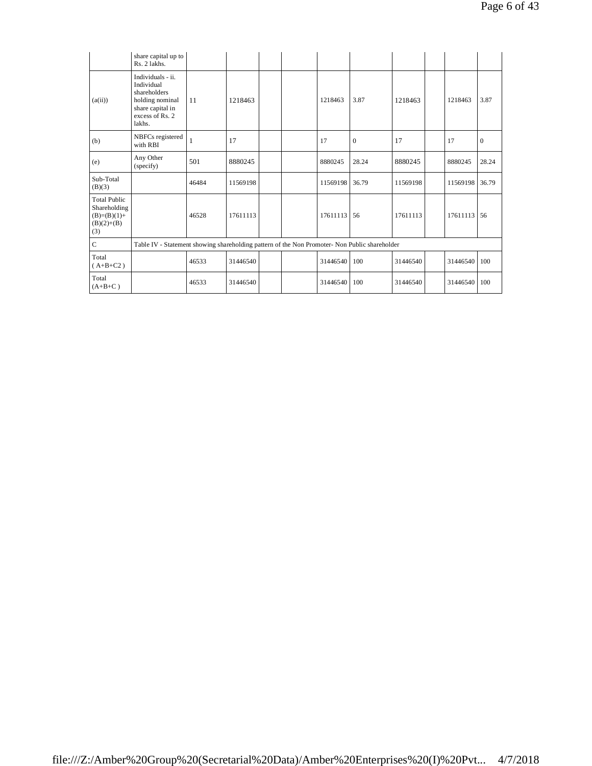|                                                                             | share capital up to<br>Rs. 2 lakhs.                                                                                 |       |          |  |          |                  |          |          |              |
|-----------------------------------------------------------------------------|---------------------------------------------------------------------------------------------------------------------|-------|----------|--|----------|------------------|----------|----------|--------------|
| (a(ii))                                                                     | Individuals - ii.<br>Individual<br>shareholders<br>holding nominal<br>share capital in<br>excess of Rs. 2<br>lakhs. | 11    | 1218463  |  | 1218463  | 3.87             | 1218463  | 1218463  | 3.87         |
| (b)                                                                         | NBFCs registered<br>with RBI                                                                                        | 1     | 17       |  | 17       | $\boldsymbol{0}$ | 17       | 17       | $\mathbf{0}$ |
| (e)                                                                         | Any Other<br>(specify)                                                                                              | 501   | 8880245  |  | 8880245  | 28.24            | 8880245  | 8880245  | 28.24        |
| Sub-Total<br>(B)(3)                                                         |                                                                                                                     | 46484 | 11569198 |  | 11569198 | 36.79            | 11569198 | 11569198 | 36.79        |
| <b>Total Public</b><br>Shareholding<br>$(B)=(B)(1)+$<br>$(B)(2)+(B)$<br>(3) |                                                                                                                     | 46528 | 17611113 |  | 17611113 | 56               | 17611113 | 17611113 | 56           |
| $\overline{C}$                                                              | Table IV - Statement showing shareholding pattern of the Non Promoter- Non Public shareholder                       |       |          |  |          |                  |          |          |              |
| Total<br>$(A+B+C2)$                                                         |                                                                                                                     | 46533 | 31446540 |  | 31446540 | 100              | 31446540 | 31446540 | 100          |
| Total<br>$(A+B+C)$                                                          |                                                                                                                     | 46533 | 31446540 |  | 31446540 | 100              | 31446540 | 31446540 | 100          |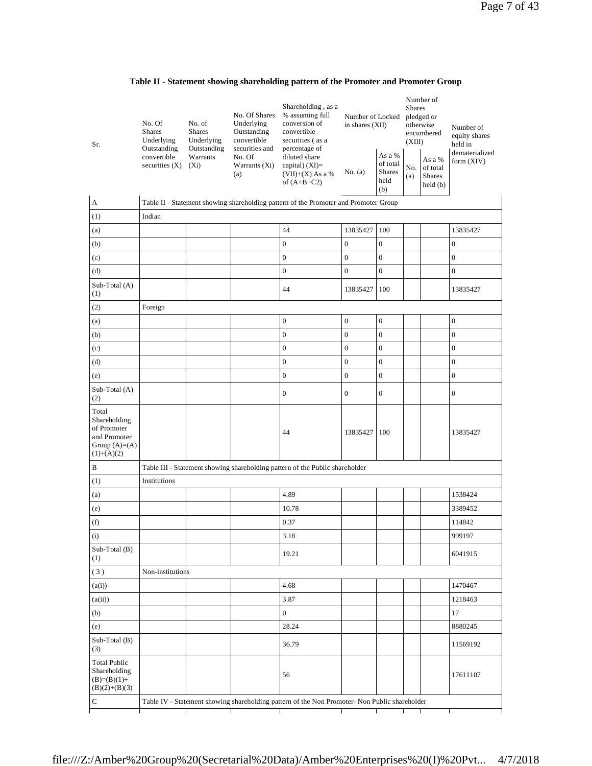|  |  |  |  | Table II - Statement showing shareholding pattern of the Promoter and Promoter Group |  |
|--|--|--|--|--------------------------------------------------------------------------------------|--|
|--|--|--|--|--------------------------------------------------------------------------------------|--|

| Sr.                                                                                     | No. Of<br><b>Shares</b><br>Underlying<br>Outstanding<br>convertible<br>securities $(X)$ | No. of<br><b>Shares</b><br>Underlying<br>Outstanding<br>Warrants<br>$(X_i)$ | No. Of Shares<br>Underlying<br>Outstanding<br>convertible<br>securities and<br>No. Of<br>Warrants (Xi)<br>(a) | Shareholding, as a<br>% assuming full<br>conversion of<br>convertible<br>securities (as a<br>percentage of<br>diluted share<br>capital) (XI)=<br>$(VII)+(X)$ As a %<br>of $(A+B+C2)$ | Number of Locked<br>in shares (XII)<br>No. (a) | As a %<br>of total<br><b>Shares</b><br>held<br>(b) | Shares<br>(XIII)<br>No.<br>(a) | Number of<br>pledged or<br>otherwise<br>encumbered<br>As a %<br>of total<br>Shares<br>held(b) | Number of<br>equity shares<br>held in<br>dematerialized<br>form (XIV) |
|-----------------------------------------------------------------------------------------|-----------------------------------------------------------------------------------------|-----------------------------------------------------------------------------|---------------------------------------------------------------------------------------------------------------|--------------------------------------------------------------------------------------------------------------------------------------------------------------------------------------|------------------------------------------------|----------------------------------------------------|--------------------------------|-----------------------------------------------------------------------------------------------|-----------------------------------------------------------------------|
| A                                                                                       |                                                                                         |                                                                             |                                                                                                               | Table II - Statement showing shareholding pattern of the Promoter and Promoter Group                                                                                                 |                                                |                                                    |                                |                                                                                               |                                                                       |
| (1)                                                                                     | Indian                                                                                  |                                                                             |                                                                                                               |                                                                                                                                                                                      |                                                |                                                    |                                |                                                                                               |                                                                       |
| (a)                                                                                     |                                                                                         |                                                                             |                                                                                                               | 44                                                                                                                                                                                   | 13835427                                       | 100                                                |                                |                                                                                               | 13835427                                                              |
| (b)                                                                                     |                                                                                         |                                                                             |                                                                                                               | $\boldsymbol{0}$                                                                                                                                                                     | $\boldsymbol{0}$                               | $\boldsymbol{0}$                                   |                                |                                                                                               | $\boldsymbol{0}$                                                      |
| (c)                                                                                     |                                                                                         |                                                                             |                                                                                                               | $\boldsymbol{0}$                                                                                                                                                                     | $\boldsymbol{0}$                               | $\boldsymbol{0}$                                   |                                |                                                                                               | $\boldsymbol{0}$                                                      |
| (d)                                                                                     |                                                                                         |                                                                             |                                                                                                               | $\boldsymbol{0}$                                                                                                                                                                     | $\boldsymbol{0}$                               | $\boldsymbol{0}$                                   |                                |                                                                                               | $\boldsymbol{0}$                                                      |
| Sub-Total (A)<br>(1)                                                                    |                                                                                         |                                                                             |                                                                                                               | 44                                                                                                                                                                                   | 13835427                                       | 100                                                |                                |                                                                                               | 13835427                                                              |
| (2)                                                                                     | Foreign                                                                                 |                                                                             |                                                                                                               |                                                                                                                                                                                      |                                                |                                                    |                                |                                                                                               |                                                                       |
| (a)                                                                                     |                                                                                         |                                                                             |                                                                                                               | $\boldsymbol{0}$                                                                                                                                                                     | $\boldsymbol{0}$                               | $\boldsymbol{0}$                                   |                                |                                                                                               | $\boldsymbol{0}$                                                      |
| (b)                                                                                     |                                                                                         |                                                                             |                                                                                                               | $\boldsymbol{0}$                                                                                                                                                                     | $\boldsymbol{0}$                               | $\boldsymbol{0}$                                   |                                |                                                                                               | $\mathbf{0}$                                                          |
| (c)                                                                                     |                                                                                         |                                                                             |                                                                                                               | $\boldsymbol{0}$                                                                                                                                                                     | $\mathbf{0}$                                   | $\boldsymbol{0}$                                   |                                |                                                                                               | $\boldsymbol{0}$                                                      |
| (d)                                                                                     |                                                                                         |                                                                             |                                                                                                               | $\boldsymbol{0}$                                                                                                                                                                     | $\mathbf{0}$                                   | $\boldsymbol{0}$                                   |                                |                                                                                               | $\boldsymbol{0}$                                                      |
| (e)                                                                                     |                                                                                         |                                                                             |                                                                                                               | $\boldsymbol{0}$                                                                                                                                                                     | $\boldsymbol{0}$                               | $\boldsymbol{0}$                                   |                                |                                                                                               | $\boldsymbol{0}$                                                      |
| Sub-Total (A)<br>(2)                                                                    |                                                                                         |                                                                             |                                                                                                               | $\boldsymbol{0}$                                                                                                                                                                     | $\boldsymbol{0}$                               | $\boldsymbol{0}$                                   |                                |                                                                                               | $\boldsymbol{0}$                                                      |
| Total<br>Shareholding<br>of Promoter<br>and Promoter<br>Group $(A)=(A)$<br>$(1)+(A)(2)$ |                                                                                         |                                                                             |                                                                                                               | 44                                                                                                                                                                                   | 13835427                                       | 100                                                |                                |                                                                                               | 13835427                                                              |
| B                                                                                       |                                                                                         |                                                                             |                                                                                                               | Table III - Statement showing shareholding pattern of the Public shareholder                                                                                                         |                                                |                                                    |                                |                                                                                               |                                                                       |
| (1)                                                                                     | Institutions                                                                            |                                                                             |                                                                                                               |                                                                                                                                                                                      |                                                |                                                    |                                |                                                                                               |                                                                       |
| (a)                                                                                     |                                                                                         |                                                                             |                                                                                                               | 4.89                                                                                                                                                                                 |                                                |                                                    |                                |                                                                                               | 1538424                                                               |
| (e)                                                                                     |                                                                                         |                                                                             |                                                                                                               | 10.78                                                                                                                                                                                |                                                |                                                    |                                |                                                                                               | 3389452                                                               |
| (f)                                                                                     |                                                                                         |                                                                             |                                                                                                               | 0.37                                                                                                                                                                                 |                                                |                                                    |                                |                                                                                               | 114842                                                                |
| (i)                                                                                     |                                                                                         |                                                                             |                                                                                                               | 3.18                                                                                                                                                                                 |                                                |                                                    |                                |                                                                                               | 999197                                                                |
| Sub-Total (B)<br>(1)                                                                    |                                                                                         |                                                                             |                                                                                                               | 19.21                                                                                                                                                                                |                                                |                                                    |                                |                                                                                               | 6041915                                                               |
| (3)                                                                                     | Non-institutions                                                                        |                                                                             |                                                                                                               |                                                                                                                                                                                      |                                                |                                                    |                                |                                                                                               |                                                                       |
| (a(i))                                                                                  |                                                                                         |                                                                             |                                                                                                               | 4.68                                                                                                                                                                                 |                                                |                                                    |                                |                                                                                               | 1470467                                                               |
| (a(ii))                                                                                 |                                                                                         |                                                                             |                                                                                                               | 3.87                                                                                                                                                                                 |                                                |                                                    |                                |                                                                                               | 1218463                                                               |
| (b)                                                                                     |                                                                                         |                                                                             |                                                                                                               | $\mathbf{0}$                                                                                                                                                                         |                                                |                                                    |                                |                                                                                               | 17                                                                    |
| (e)                                                                                     |                                                                                         |                                                                             |                                                                                                               | 28.24                                                                                                                                                                                |                                                |                                                    |                                |                                                                                               | 8880245                                                               |
| $Sub-Total(B)$<br>(3)                                                                   |                                                                                         |                                                                             |                                                                                                               | 36.79                                                                                                                                                                                |                                                |                                                    |                                |                                                                                               | 11569192                                                              |
| <b>Total Public</b><br>Shareholding<br>$(B)=(B)(1)+$<br>$(B)(2)+(B)(3)$                 |                                                                                         |                                                                             |                                                                                                               | 56                                                                                                                                                                                   |                                                |                                                    |                                |                                                                                               | 17611107                                                              |
| C                                                                                       |                                                                                         |                                                                             |                                                                                                               | Table IV - Statement showing shareholding pattern of the Non Promoter- Non Public shareholder                                                                                        |                                                |                                                    |                                |                                                                                               |                                                                       |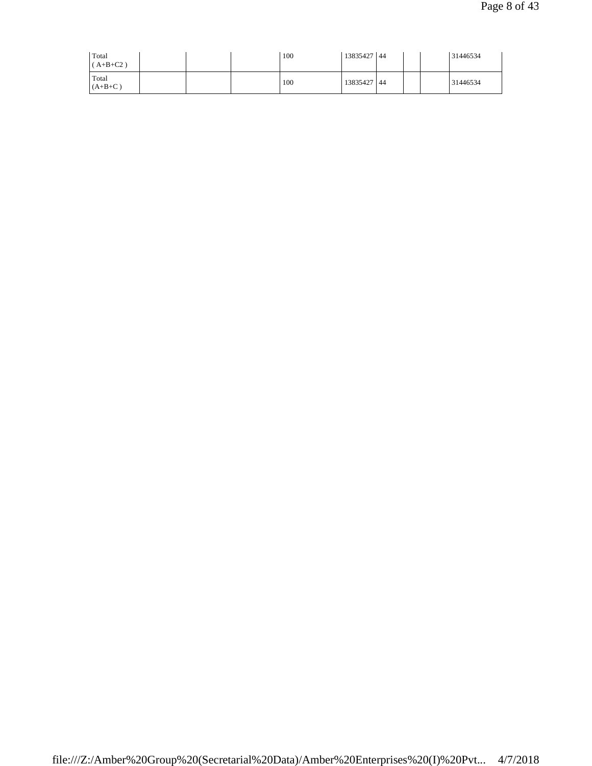| Total<br>$(A+B+C2)$ |  | 100 | 13835427 44 |  | 31446534 |
|---------------------|--|-----|-------------|--|----------|
| Total<br>$(A+B+C)$  |  | 100 | 13835427 44 |  | 31446534 |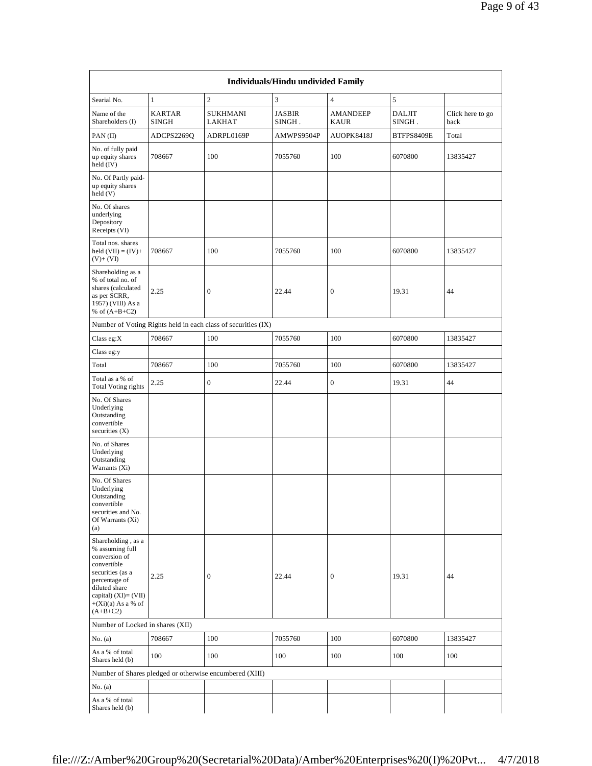|                                                                                                                                                                                              |                               |                                                               | <b>Individuals/Hindu undivided Family</b> |                                |                         |                          |
|----------------------------------------------------------------------------------------------------------------------------------------------------------------------------------------------|-------------------------------|---------------------------------------------------------------|-------------------------------------------|--------------------------------|-------------------------|--------------------------|
| Searial No.                                                                                                                                                                                  | $\mathbf{1}$                  | $\overline{2}$                                                | 3                                         | $\overline{4}$                 | 5                       |                          |
| Name of the<br>Shareholders (I)                                                                                                                                                              | <b>KARTAR</b><br><b>SINGH</b> | <b>SUKHMANI</b><br>LAKHAT                                     | JASBIR<br>SINGH.                          | <b>AMANDEEP</b><br><b>KAUR</b> | <b>DALJIT</b><br>SINGH. | Click here to go<br>back |
| PAN(II)                                                                                                                                                                                      | ADCPS2269Q                    | ADRPL0169P                                                    | AMWPS9504P                                | AUOPK8418J                     | BTFPS8409E              | Total                    |
| No. of fully paid<br>up equity shares<br>held $(IV)$                                                                                                                                         | 708667                        | 100                                                           | 7055760                                   | 100                            | 6070800                 | 13835427                 |
| No. Of Partly paid-<br>up equity shares<br>held(V)                                                                                                                                           |                               |                                                               |                                           |                                |                         |                          |
| No. Of shares<br>underlying<br>Depository<br>Receipts (VI)                                                                                                                                   |                               |                                                               |                                           |                                |                         |                          |
| Total nos. shares<br>held $(VII) = (IV) +$<br>$(V)$ + $(VI)$                                                                                                                                 | 708667                        | 100                                                           | 7055760                                   | 100                            | 6070800                 | 13835427                 |
| Shareholding as a<br>% of total no. of<br>shares (calculated<br>as per SCRR,<br>1957) (VIII) As a<br>% of $(A+B+C2)$                                                                         | 2.25                          | $\boldsymbol{0}$                                              | 22.44                                     | 0                              | 19.31                   | 44                       |
|                                                                                                                                                                                              |                               | Number of Voting Rights held in each class of securities (IX) |                                           |                                |                         |                          |
| Class eg: $X$                                                                                                                                                                                | 708667                        | 100                                                           | 7055760                                   | 100                            | 6070800                 | 13835427                 |
| Class eg:y                                                                                                                                                                                   |                               |                                                               |                                           |                                |                         |                          |
| Total                                                                                                                                                                                        | 708667                        | 100                                                           | 7055760                                   | 100                            | 6070800                 | 13835427                 |
| Total as a % of<br><b>Total Voting rights</b>                                                                                                                                                | 2.25                          | $\boldsymbol{0}$                                              | 22.44                                     | $\boldsymbol{0}$               | 19.31                   | 44                       |
| No. Of Shares<br>Underlying<br>Outstanding<br>convertible<br>securities $(X)$                                                                                                                |                               |                                                               |                                           |                                |                         |                          |
| No. of Shares<br>Underlying<br>Outstanding<br>Warrants (Xi)                                                                                                                                  |                               |                                                               |                                           |                                |                         |                          |
| No. Of Shares<br>Underlying<br>Outstanding<br>convertible<br>securities and No.<br>Of Warrants (Xi)<br>(a)                                                                                   |                               |                                                               |                                           |                                |                         |                          |
| Shareholding, as a<br>% assuming full<br>conversion of<br>convertible<br>securities (as a<br>percentage of<br>diluted share<br>capital) $(XI) = (VII)$<br>$+(Xi)(a)$ As a % of<br>$(A+B+C2)$ | 2.25                          | $\boldsymbol{0}$                                              | 22.44                                     | 0                              | 19.31                   | 44                       |
| Number of Locked in shares (XII)                                                                                                                                                             |                               |                                                               |                                           |                                |                         |                          |
| No. $(a)$                                                                                                                                                                                    | 708667                        | 100                                                           | 7055760                                   | 100                            | 6070800                 | 13835427                 |
| As a % of total<br>Shares held (b)                                                                                                                                                           | 100                           | 100                                                           | 100                                       | 100                            | 100                     | 100                      |
|                                                                                                                                                                                              |                               | Number of Shares pledged or otherwise encumbered (XIII)       |                                           |                                |                         |                          |
| No. $(a)$                                                                                                                                                                                    |                               |                                                               |                                           |                                |                         |                          |
| As a % of total<br>Shares held (b)                                                                                                                                                           |                               |                                                               |                                           |                                |                         |                          |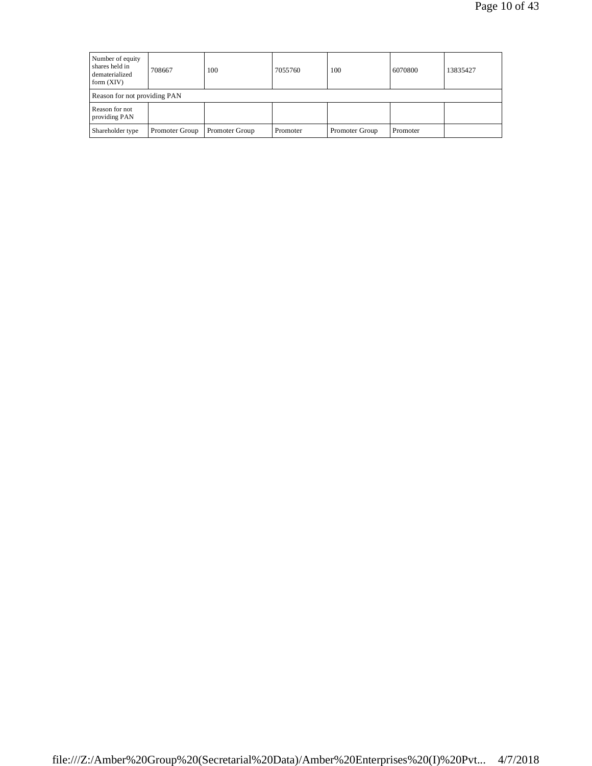| Number of equity<br>shares held in<br>dematerialized<br>form $(XIV)$ | 708667         | 100            | 7055760  | 100            | 6070800  | 13835427 |
|----------------------------------------------------------------------|----------------|----------------|----------|----------------|----------|----------|
| Reason for not providing PAN                                         |                |                |          |                |          |          |
| Reason for not<br>providing PAN                                      |                |                |          |                |          |          |
| Shareholder type                                                     | Promoter Group | Promoter Group | Promoter | Promoter Group | Promoter |          |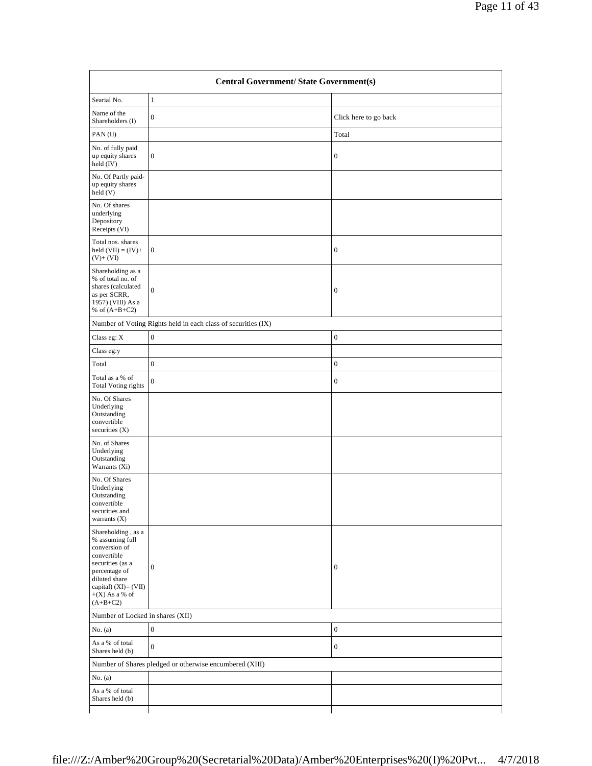| Searial No.                                                                                                                                                                               | $\mathbf{1}$                                                  |                       |
|-------------------------------------------------------------------------------------------------------------------------------------------------------------------------------------------|---------------------------------------------------------------|-----------------------|
| Name of the<br>Shareholders (I)                                                                                                                                                           | $\boldsymbol{0}$                                              | Click here to go back |
| PAN(II)                                                                                                                                                                                   |                                                               | Total                 |
| No. of fully paid<br>up equity shares<br>held (IV)                                                                                                                                        | $\boldsymbol{0}$                                              | $\boldsymbol{0}$      |
| No. Of Partly paid-<br>up equity shares<br>held (V)                                                                                                                                       |                                                               |                       |
| No. Of shares<br>underlying<br>Depository<br>Receipts (VI)                                                                                                                                |                                                               |                       |
| Total nos. shares<br>held $(VII) = (IV) +$<br>$(V)+(VI)$                                                                                                                                  | $\mathbf{0}$                                                  | $\mathbf{0}$          |
| Shareholding as a<br>% of total no. of<br>shares (calculated<br>as per SCRR,<br>1957) (VIII) As a<br>% of $(A+B+C2)$                                                                      | $\boldsymbol{0}$                                              | $\mathbf{0}$          |
|                                                                                                                                                                                           | Number of Voting Rights held in each class of securities (IX) |                       |
| Class eg: $\mathbf X$                                                                                                                                                                     | $\boldsymbol{0}$                                              | $\mathbf{0}$          |
| Class eg:y                                                                                                                                                                                |                                                               |                       |
| Total                                                                                                                                                                                     | $\boldsymbol{0}$                                              | $\mathbf{0}$          |
| Total as a % of<br><b>Total Voting rights</b>                                                                                                                                             | $\boldsymbol{0}$                                              | $\mathbf{0}$          |
| No. Of Shares<br>Underlying<br>Outstanding<br>convertible<br>securities $(X)$                                                                                                             |                                                               |                       |
| No. of Shares<br>Underlying<br>Outstanding<br>Warrants (Xi)                                                                                                                               |                                                               |                       |
| No. Of Shares<br>Underlying<br>Outstanding<br>convertible<br>securities and<br>warrants $(X)$                                                                                             |                                                               |                       |
| Shareholding , as a<br>% assuming full<br>conversion of<br>convertible<br>securities (as a<br>percentage of<br>diluted share<br>capital) $(XI) = (VII)$<br>$+(X)$ As a % of<br>$(A+B+C2)$ | $\overline{0}$                                                | $\mathbf{0}$          |
| Number of Locked in shares (XII)                                                                                                                                                          |                                                               |                       |
| No. $(a)$                                                                                                                                                                                 | $\boldsymbol{0}$                                              | $\mathbf{0}$          |
| As a % of total<br>Shares held (b)                                                                                                                                                        | $\boldsymbol{0}$                                              | $\mathbf{0}$          |
|                                                                                                                                                                                           | Number of Shares pledged or otherwise encumbered (XIII)       |                       |
| No. $(a)$                                                                                                                                                                                 |                                                               |                       |
| As a % of total<br>Shares held (b)                                                                                                                                                        |                                                               |                       |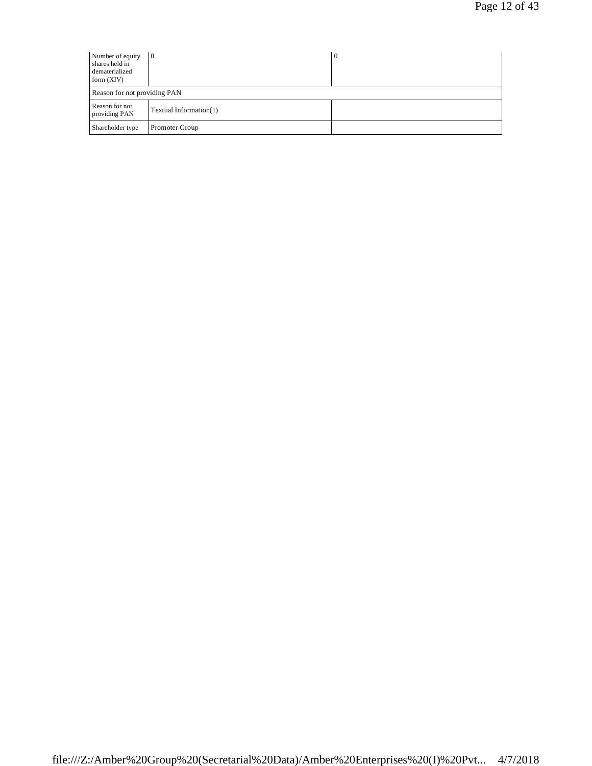| Number of equity<br>shares held in<br>dematerialized<br>form $(XIV)$ | 10                     | 0 |
|----------------------------------------------------------------------|------------------------|---|
| Reason for not providing PAN                                         |                        |   |
| Reason for not<br>providing PAN                                      | Textual Information(1) |   |
| Shareholder type                                                     | Promoter Group         |   |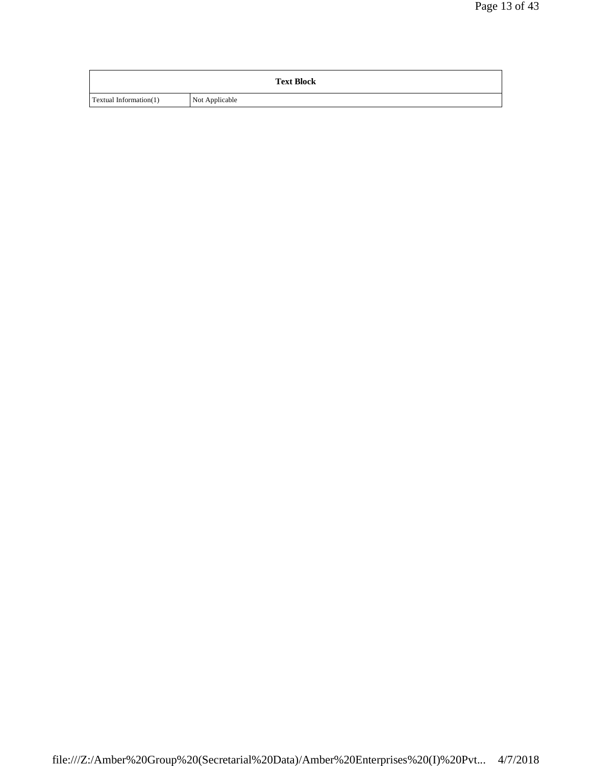|                               | <b>Text Block</b> |
|-------------------------------|-------------------|
| <b>Textual Information(1)</b> | Not Applicable    |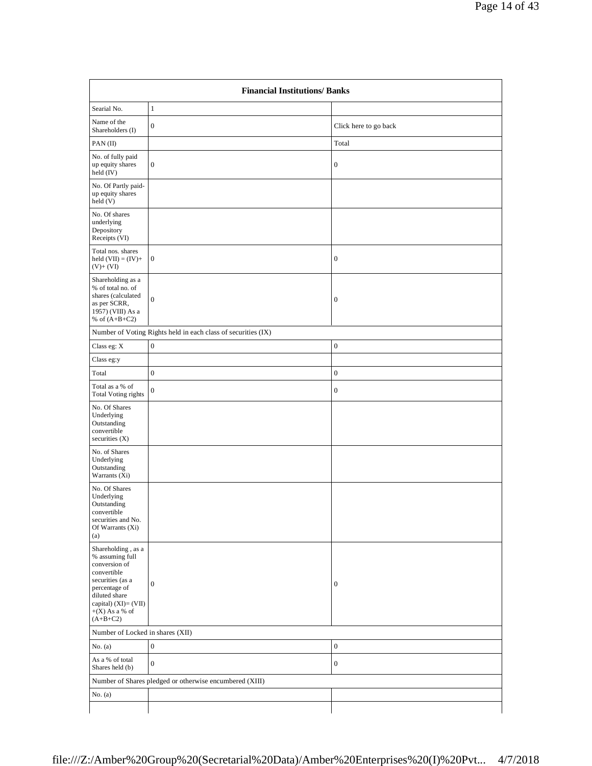| <b>Financial Institutions/Banks</b>                                                                                                                                                   |                                                               |                       |
|---------------------------------------------------------------------------------------------------------------------------------------------------------------------------------------|---------------------------------------------------------------|-----------------------|
| Searial No.                                                                                                                                                                           | $\mathbf{1}$                                                  |                       |
| Name of the<br>Shareholders (I)                                                                                                                                                       | $\boldsymbol{0}$                                              | Click here to go back |
| PAN(II)                                                                                                                                                                               |                                                               | Total                 |
| No. of fully paid<br>up equity shares<br>held (IV)                                                                                                                                    | $\boldsymbol{0}$                                              | $\mathbf{0}$          |
| No. Of Partly paid-<br>up equity shares<br>held (V)                                                                                                                                   |                                                               |                       |
| No. Of shares<br>underlying<br>Depository<br>Receipts (VI)                                                                                                                            |                                                               |                       |
| Total nos. shares<br>held $(VII) = (IV) +$<br>$(V)+(VI)$                                                                                                                              | $\boldsymbol{0}$                                              | $\mathbf{0}$          |
| Shareholding as a<br>% of total no. of<br>shares (calculated<br>as per SCRR,<br>1957) (VIII) As a<br>% of $(A+B+C2)$                                                                  | $\boldsymbol{0}$                                              | $\mathbf{0}$          |
|                                                                                                                                                                                       | Number of Voting Rights held in each class of securities (IX) |                       |
| Class eg: X                                                                                                                                                                           | $\boldsymbol{0}$                                              | $\boldsymbol{0}$      |
| Class eg:y                                                                                                                                                                            |                                                               |                       |
| Total                                                                                                                                                                                 | $\boldsymbol{0}$                                              | $\boldsymbol{0}$      |
| Total as a % of<br><b>Total Voting rights</b>                                                                                                                                         | $\boldsymbol{0}$                                              | $\boldsymbol{0}$      |
| No. Of Shares<br>Underlying<br>Outstanding<br>convertible<br>securities $(X)$                                                                                                         |                                                               |                       |
| No. of Shares<br>Underlying<br>Outstanding<br>Warrants (Xi)                                                                                                                           |                                                               |                       |
| No. Of Shares<br>Underlying<br>Outstanding<br>convertible<br>securities and No.<br>Of Warrants (Xi)<br>(a)                                                                            |                                                               |                       |
| Shareholding, as a<br>% assuming full<br>conversion of<br>convertible<br>securities (as a<br>percentage of<br>diluted share<br>capital) (XI)= (VII)<br>$+(X)$ As a % of<br>$(A+B+C2)$ | $\boldsymbol{0}$                                              | $\boldsymbol{0}$      |
|                                                                                                                                                                                       | Number of Locked in shares (XII)                              |                       |
| No. $(a)$                                                                                                                                                                             | $\boldsymbol{0}$                                              | $\boldsymbol{0}$      |
| As a % of total<br>Shares held (b)                                                                                                                                                    | $\boldsymbol{0}$                                              | $\boldsymbol{0}$      |
|                                                                                                                                                                                       | Number of Shares pledged or otherwise encumbered (XIII)       |                       |
| No. (a)                                                                                                                                                                               |                                                               |                       |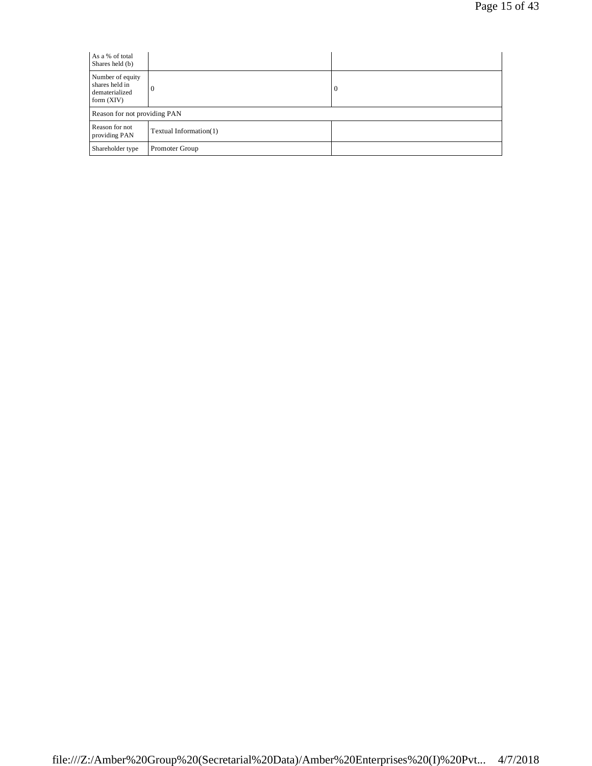| As a % of total<br>Shares held (b)                                   |                        |   |
|----------------------------------------------------------------------|------------------------|---|
| Number of equity<br>shares held in<br>dematerialized<br>form $(XIV)$ | $\theta$               | 0 |
| Reason for not providing PAN                                         |                        |   |
| Reason for not<br>providing PAN                                      | Textual Information(1) |   |
| Shareholder type                                                     | Promoter Group         |   |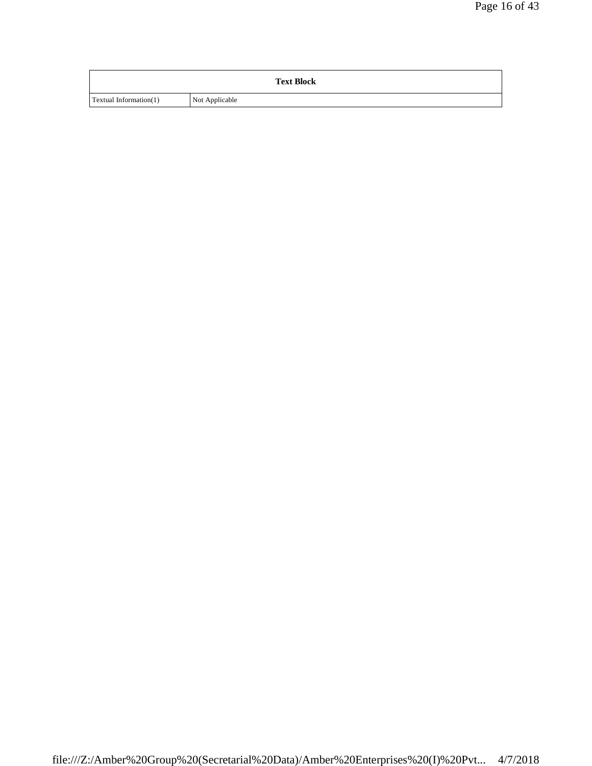|                        | <b>Text Block</b> |
|------------------------|-------------------|
| Textual Information(1) | Not Applicable    |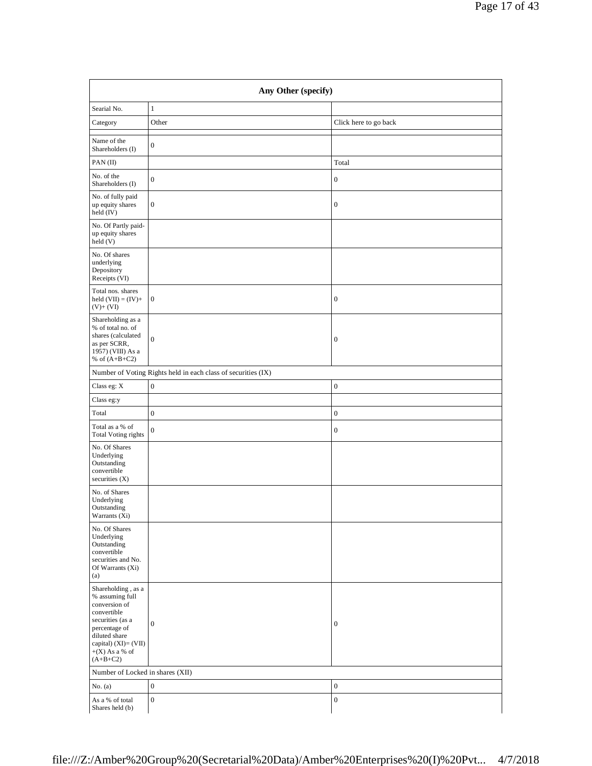|                                                            |                     |                       | Page 17 of 43 |
|------------------------------------------------------------|---------------------|-----------------------|---------------|
|                                                            |                     |                       |               |
|                                                            | Any Other (specify) |                       |               |
| Searial No.                                                | $\mathbf{1}$        |                       |               |
| Category                                                   | Other               | Click here to go back |               |
| Name of the<br>Shareholders (I)                            | $\boldsymbol{0}$    |                       |               |
| PAN(II)                                                    |                     | Total                 |               |
| No. of the<br>Shareholders (I)                             | $\boldsymbol{0}$    | $\boldsymbol{0}$      |               |
| No. of fully paid<br>up equity shares<br>held (IV)         | $\vert 0 \vert$     | $\mathbf{0}$          |               |
| No. Of Partly paid-<br>up equity shares<br>held(V)         |                     |                       |               |
| No. Of shares<br>underlying<br>Depository<br>Receipts (VI) |                     |                       |               |
| Total nos. shares<br>held $(VII) = (IV) +$<br>$(V) + (VI)$ | $\vert 0 \vert$     | $\boldsymbol{0}$      |               |
| Shareholding as a                                          |                     |                       |               |

| PAN(II)                                                                                                                                                                                        |                                                               | Total            |
|------------------------------------------------------------------------------------------------------------------------------------------------------------------------------------------------|---------------------------------------------------------------|------------------|
| No. of the<br>Shareholders (I)                                                                                                                                                                 | $\boldsymbol{0}$                                              | $\boldsymbol{0}$ |
| No. of fully paid<br>up equity shares<br>held $(IV)$                                                                                                                                           | $\boldsymbol{0}$                                              | $\boldsymbol{0}$ |
| No. Of Partly paid-<br>up equity shares<br>held(V)                                                                                                                                             |                                                               |                  |
| No. Of shares<br>underlying<br>Depository<br>Receipts (VI)                                                                                                                                     |                                                               |                  |
| Total nos. shares<br>held $(VII) = (IV) +$<br>$(V)+(VI)$                                                                                                                                       | $\mathbf{0}$                                                  | $\boldsymbol{0}$ |
| Shareholding as a<br>% of total no. of<br>shares (calculated<br>as per SCRR,<br>1957) (VIII) As a<br>% of $(A+B+C2)$                                                                           | $\boldsymbol{0}$                                              | $\boldsymbol{0}$ |
|                                                                                                                                                                                                | Number of Voting Rights held in each class of securities (IX) |                  |
| Class eg: X                                                                                                                                                                                    | $\boldsymbol{0}$                                              | $\boldsymbol{0}$ |
| Class eg:y                                                                                                                                                                                     |                                                               |                  |
| Total                                                                                                                                                                                          | $\boldsymbol{0}$                                              | $\boldsymbol{0}$ |
| Total as a % of<br><b>Total Voting rights</b>                                                                                                                                                  | $\boldsymbol{0}$                                              | $\boldsymbol{0}$ |
| No. Of Shares<br>Underlying<br>Outstanding<br>convertible<br>securities $(X)$                                                                                                                  |                                                               |                  |
| No. of Shares<br>Underlying<br>Outstanding<br>Warrants (Xi)                                                                                                                                    |                                                               |                  |
| No. Of Shares<br>Underlying<br>Outstanding<br>convertible<br>securities and No.<br>Of Warrants (Xi)<br>(a)                                                                                     |                                                               |                  |
| $\rm Sh are holding$ , as a<br>% assuming full<br>conversion of<br>convertible<br>securities (as a<br>percentage of<br>diluted share<br>capital) (XI)= (VII)<br>$+(X)$ As a % of<br>$(A+B+C2)$ | $\boldsymbol{0}$                                              | $\boldsymbol{0}$ |
| Number of Locked in shares (XII)                                                                                                                                                               |                                                               |                  |
| No. $(a)$                                                                                                                                                                                      | $\boldsymbol{0}$                                              | $\boldsymbol{0}$ |
| As a % of total<br>Shares held (b)                                                                                                                                                             | $\boldsymbol{0}$                                              | $\boldsymbol{0}$ |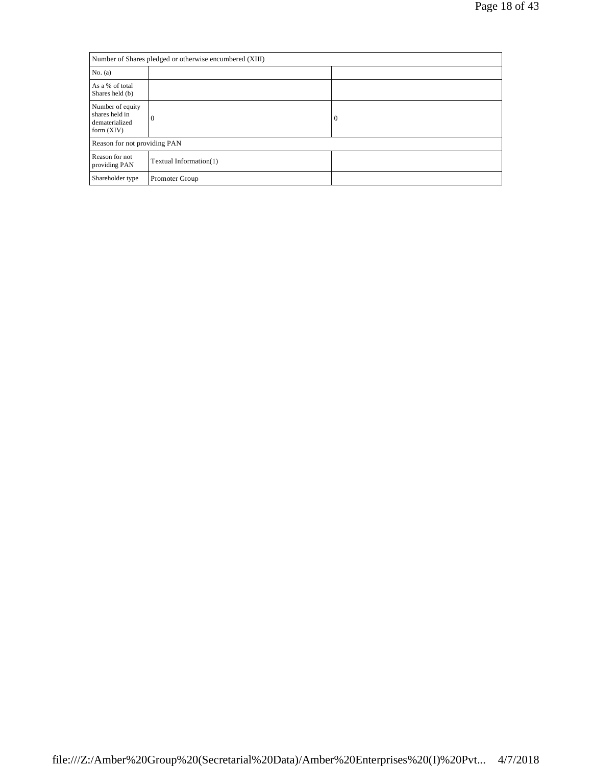| Number of Shares pledged or otherwise encumbered (XIII)              |                        |              |
|----------------------------------------------------------------------|------------------------|--------------|
| No. (a)                                                              |                        |              |
| As a % of total<br>Shares held (b)                                   |                        |              |
| Number of equity<br>shares held in<br>dematerialized<br>form $(XIV)$ | $\theta$               | $\mathbf{0}$ |
| Reason for not providing PAN                                         |                        |              |
| Reason for not<br>providing PAN                                      | Textual Information(1) |              |
| Shareholder type                                                     | Promoter Group         |              |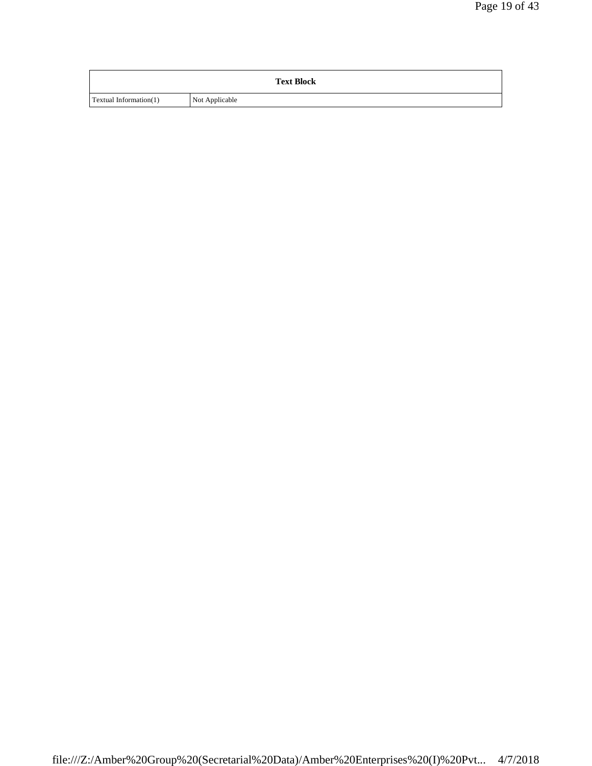|                        | <b>Text Block</b> |
|------------------------|-------------------|
| Textual Information(1) | Not Applicable    |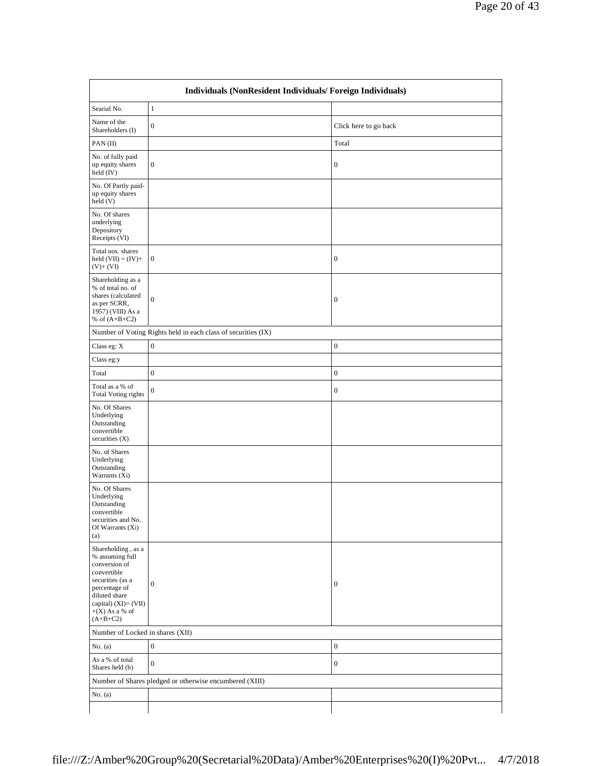| Searial No.                                                                                                                                                                           | $1\,$                                                         |                       |  |
|---------------------------------------------------------------------------------------------------------------------------------------------------------------------------------------|---------------------------------------------------------------|-----------------------|--|
| Name of the<br>Shareholders (I)                                                                                                                                                       | $\boldsymbol{0}$                                              | Click here to go back |  |
| PAN(II)                                                                                                                                                                               |                                                               | Total                 |  |
| No. of fully paid<br>up equity shares<br>held (IV)                                                                                                                                    | $\boldsymbol{0}$                                              | $\boldsymbol{0}$      |  |
| No. Of Partly paid-<br>up equity shares<br>held(V)                                                                                                                                    |                                                               |                       |  |
| No. Of shares<br>underlying<br>Depository<br>Receipts (VI)                                                                                                                            |                                                               |                       |  |
| Total nos. shares<br>held $(VII) = (IV) +$<br>$(V)+(VI)$                                                                                                                              | $\mathbf{0}$                                                  | $\boldsymbol{0}$      |  |
| Shareholding as a<br>% of total no. of<br>shares (calculated<br>as per SCRR,<br>1957) (VIII) As a<br>% of $(A+B+C2)$                                                                  | $\mathbf{0}$                                                  | $\boldsymbol{0}$      |  |
|                                                                                                                                                                                       | Number of Voting Rights held in each class of securities (IX) |                       |  |
| Class eg: X                                                                                                                                                                           | $\boldsymbol{0}$                                              | $\boldsymbol{0}$      |  |
| Class eg:y                                                                                                                                                                            |                                                               |                       |  |
| Total                                                                                                                                                                                 | $\overline{0}$                                                | $\boldsymbol{0}$      |  |
| Total as a % of<br><b>Total Voting rights</b>                                                                                                                                         | $\mathbf{0}$                                                  | $\boldsymbol{0}$      |  |
| No. Of Shares<br>Underlying<br>Outstanding<br>convertible<br>securities (X)                                                                                                           |                                                               |                       |  |
| No. of Shares<br>Underlying<br>Outstanding<br>Warrants (Xi)                                                                                                                           |                                                               |                       |  |
| No. Of Shares<br>Underlying<br>Outstanding<br>convertible<br>securities and No.<br>Of Warrants (Xi)<br>(a)                                                                            |                                                               |                       |  |
| Shareholding, as a<br>% assuming full<br>conversion of<br>convertible<br>securities (as a<br>percentage of<br>diluted share<br>capital) (XI)= (VII)<br>$+(X)$ As a % of<br>$(A+B+C2)$ | $\boldsymbol{0}$                                              | $\boldsymbol{0}$      |  |
| Number of Locked in shares (XII)                                                                                                                                                      |                                                               |                       |  |
| No. $(a)$                                                                                                                                                                             | $\mathbf{0}$                                                  | $\boldsymbol{0}$      |  |
| As a % of total<br>Shares held (b)                                                                                                                                                    | $\boldsymbol{0}$                                              | $\boldsymbol{0}$      |  |
|                                                                                                                                                                                       | Number of Shares pledged or otherwise encumbered (XIII)       |                       |  |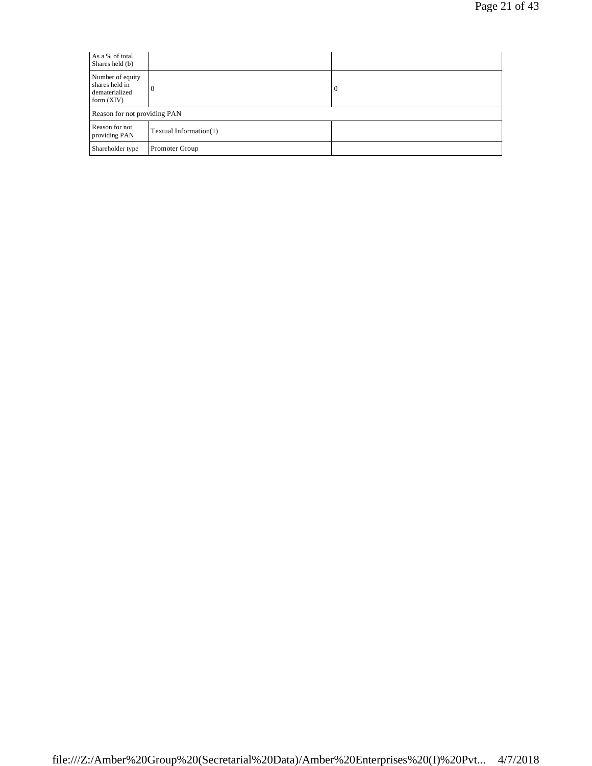| As a % of total<br>Shares held (b)                                   |                        |   |
|----------------------------------------------------------------------|------------------------|---|
| Number of equity<br>shares held in<br>dematerialized<br>form $(XIV)$ | $\theta$               | 0 |
| Reason for not providing PAN                                         |                        |   |
| Reason for not<br>providing PAN                                      | Textual Information(1) |   |
| Shareholder type                                                     | Promoter Group         |   |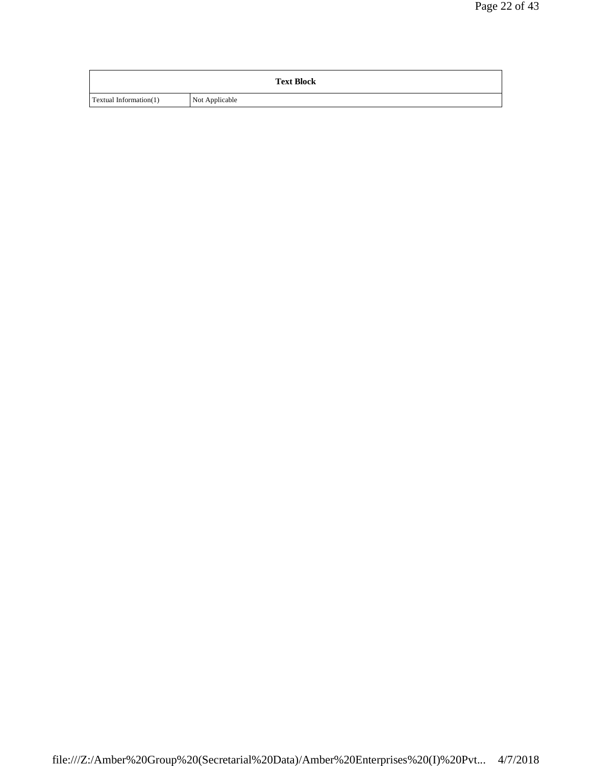|                        | <b>Text Block</b> |
|------------------------|-------------------|
| Textual Information(1) | Not Applicable    |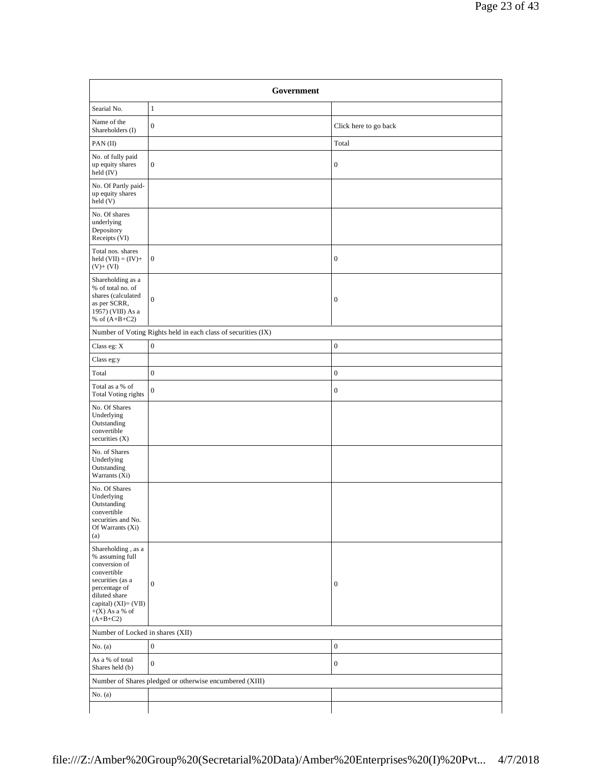| Government                                                                                                                                                                            |                                                               |                       |
|---------------------------------------------------------------------------------------------------------------------------------------------------------------------------------------|---------------------------------------------------------------|-----------------------|
| Searial No.                                                                                                                                                                           | $\mathbf{1}$                                                  |                       |
| Name of the<br>Shareholders (I)                                                                                                                                                       | $\mathbf{0}$                                                  | Click here to go back |
| PAN(II)                                                                                                                                                                               |                                                               | Total                 |
| No. of fully paid<br>up equity shares<br>held (IV)                                                                                                                                    | $\boldsymbol{0}$                                              | $\boldsymbol{0}$      |
| No. Of Partly paid-<br>up equity shares<br>held (V)                                                                                                                                   |                                                               |                       |
| No. Of shares<br>underlying<br>Depository<br>Receipts (VI)                                                                                                                            |                                                               |                       |
| Total nos. shares<br>held $(VII) = (IV) +$<br>$(V) + (VI)$                                                                                                                            | $\boldsymbol{0}$                                              | $\boldsymbol{0}$      |
| Shareholding as a<br>% of total no. of<br>shares (calculated<br>as per SCRR,<br>1957) (VIII) As a<br>% of $(A+B+C2)$                                                                  | $\boldsymbol{0}$                                              | $\boldsymbol{0}$      |
|                                                                                                                                                                                       | Number of Voting Rights held in each class of securities (IX) |                       |
| Class eg: X                                                                                                                                                                           | $\boldsymbol{0}$                                              | $\boldsymbol{0}$      |
| Class eg:y                                                                                                                                                                            |                                                               |                       |
| Total                                                                                                                                                                                 | $\boldsymbol{0}$                                              | $\boldsymbol{0}$      |
| Total as a % of<br><b>Total Voting rights</b>                                                                                                                                         | $\boldsymbol{0}$                                              | $\boldsymbol{0}$      |
| No. Of Shares<br>Underlying<br>Outstanding<br>convertible<br>securities $(X)$                                                                                                         |                                                               |                       |
| No. of Shares<br>Underlying<br>Outstanding<br>Warrants (Xi)                                                                                                                           |                                                               |                       |
| No. Of Shares<br>Underlying<br>Outstanding<br>convertible<br>securities and No.<br>Of Warrants (Xi)<br>(a)                                                                            |                                                               |                       |
| Shareholding, as a<br>% assuming full<br>conversion of<br>convertible<br>securities (as a<br>percentage of<br>diluted share<br>capital) (XI)= (VII)<br>$+(X)$ As a % of<br>$(A+B+C2)$ | $\boldsymbol{0}$                                              | $\boldsymbol{0}$      |
|                                                                                                                                                                                       | Number of Locked in shares (XII)                              |                       |
| No. $(a)$                                                                                                                                                                             | $\boldsymbol{0}$                                              | $\boldsymbol{0}$      |
| As a % of total<br>Shares held (b)                                                                                                                                                    | $\boldsymbol{0}$                                              | $\boldsymbol{0}$      |
|                                                                                                                                                                                       | Number of Shares pledged or otherwise encumbered (XIII)       |                       |
| No. (a)                                                                                                                                                                               |                                                               |                       |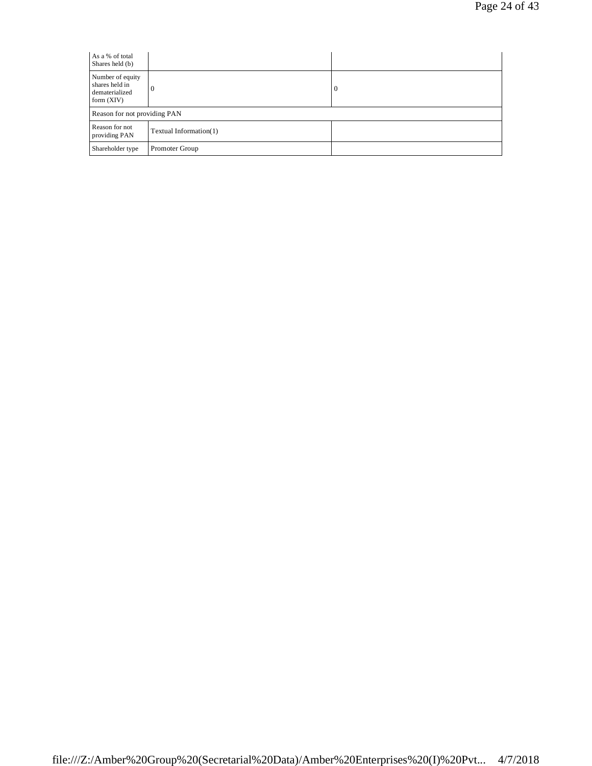| As a % of total<br>Shares held (b)                                   |                        |   |
|----------------------------------------------------------------------|------------------------|---|
| Number of equity<br>shares held in<br>dematerialized<br>form $(XIV)$ | $\theta$               | 0 |
| Reason for not providing PAN                                         |                        |   |
| Reason for not<br>providing PAN                                      | Textual Information(1) |   |
| Shareholder type                                                     | Promoter Group         |   |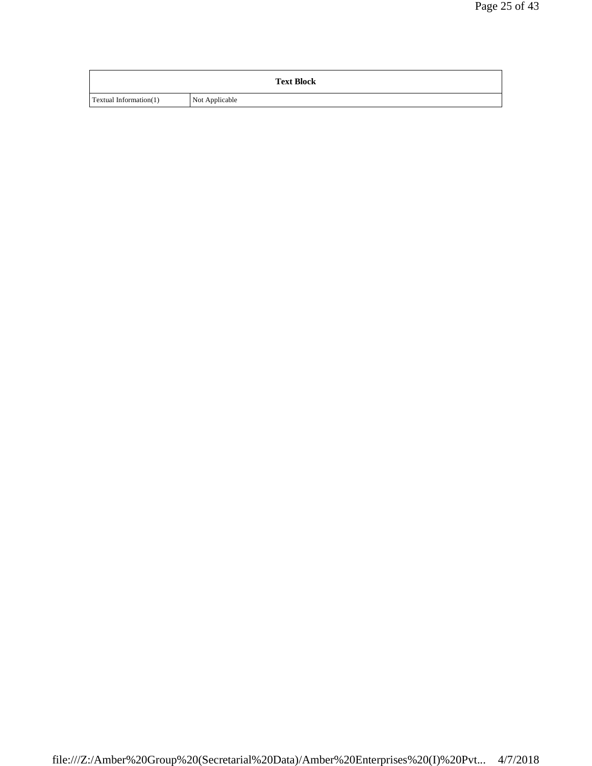|                        | <b>Text Block</b> |
|------------------------|-------------------|
| Textual Information(1) | Not Applicable    |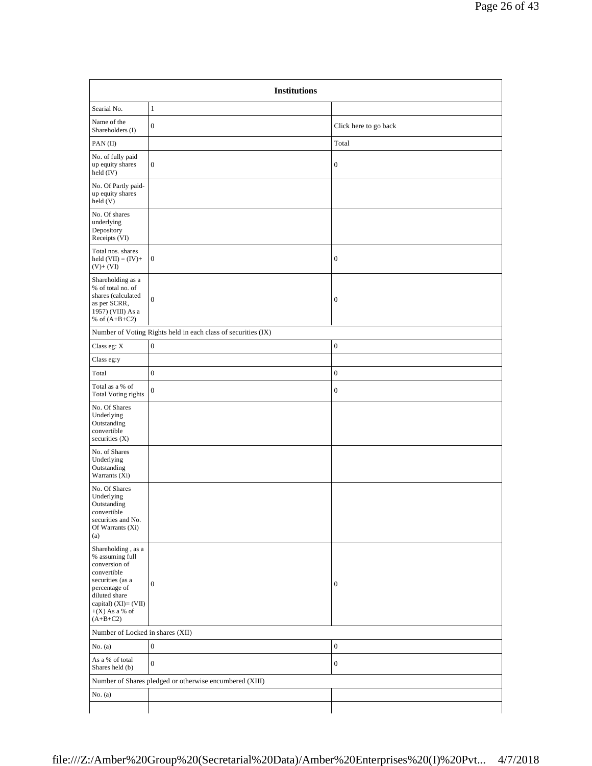| <b>Institutions</b>                                                                                                                                                                                 |                                                               |                       |
|-----------------------------------------------------------------------------------------------------------------------------------------------------------------------------------------------------|---------------------------------------------------------------|-----------------------|
| Searial No.                                                                                                                                                                                         | $\mathbf{1}$                                                  |                       |
| Name of the<br>Shareholders (I)                                                                                                                                                                     | $\boldsymbol{0}$                                              | Click here to go back |
| PAN(II)                                                                                                                                                                                             |                                                               | Total                 |
| No. of fully paid<br>up equity shares<br>held (IV)                                                                                                                                                  | $\boldsymbol{0}$                                              | $\boldsymbol{0}$      |
| No. Of Partly paid-<br>up equity shares<br>held (V)                                                                                                                                                 |                                                               |                       |
| No. Of shares<br>underlying<br>Depository<br>Receipts (VI)                                                                                                                                          |                                                               |                       |
| Total nos. shares<br>held $(VII) = (IV) +$<br>$(V)+(VI)$                                                                                                                                            | $\boldsymbol{0}$                                              | $\boldsymbol{0}$      |
| Shareholding as a<br>% of total no. of<br>shares (calculated<br>as per SCRR,<br>1957) (VIII) As a<br>% of $(A+B+C2)$                                                                                | $\boldsymbol{0}$                                              | $\boldsymbol{0}$      |
|                                                                                                                                                                                                     | Number of Voting Rights held in each class of securities (IX) |                       |
| Class eg: X                                                                                                                                                                                         | $\boldsymbol{0}$                                              | $\boldsymbol{0}$      |
| Class eg:y                                                                                                                                                                                          |                                                               |                       |
| Total                                                                                                                                                                                               | $\boldsymbol{0}$                                              | $\boldsymbol{0}$      |
| Total as a % of<br><b>Total Voting rights</b>                                                                                                                                                       | $\boldsymbol{0}$                                              | $\boldsymbol{0}$      |
| No. Of Shares<br>Underlying<br>Outstanding<br>convertible<br>securities (X)                                                                                                                         |                                                               |                       |
| No. of Shares<br>Underlying<br>Outstanding<br>Warrants $(X_i)$                                                                                                                                      |                                                               |                       |
| No. Of Shares<br>Underlying<br>Outstanding<br>convertible<br>securities and No.<br>Of Warrants (Xi)<br>(a)                                                                                          |                                                               |                       |
| Shareholding , as $\mathbf a$<br>% assuming full<br>conversion of<br>convertible<br>securities (as a<br>percentage of<br>diluted share<br>capital) $(XI) = (VII)$<br>$+(X)$ As a % of<br>$(A+B+C2)$ | $\boldsymbol{0}$                                              | $\boldsymbol{0}$      |
| Number of Locked in shares (XII)                                                                                                                                                                    |                                                               |                       |
| No. $(a)$                                                                                                                                                                                           | $\boldsymbol{0}$                                              | $\boldsymbol{0}$      |
| As a % of total<br>Shares held (b)                                                                                                                                                                  | $\boldsymbol{0}$                                              | $\boldsymbol{0}$      |
|                                                                                                                                                                                                     | Number of Shares pledged or otherwise encumbered (XIII)       |                       |
| No. $(a)$                                                                                                                                                                                           |                                                               |                       |
|                                                                                                                                                                                                     |                                                               |                       |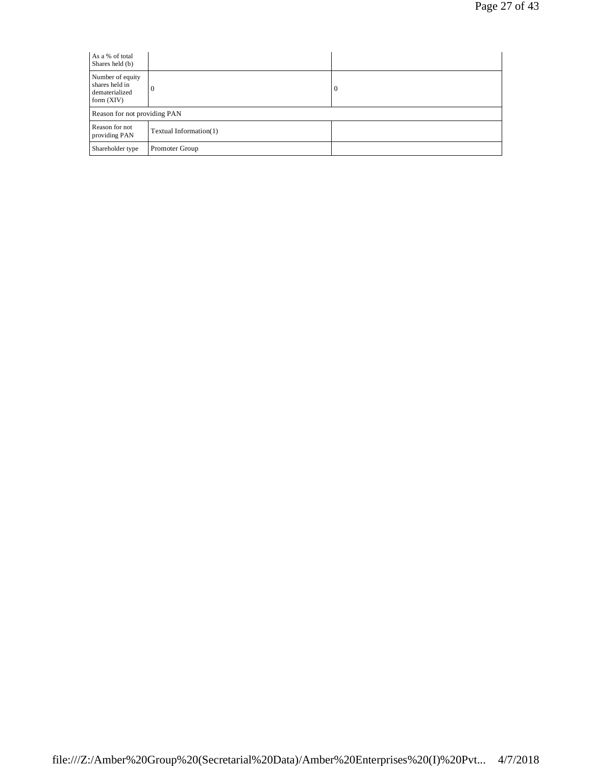| As a % of total<br>Shares held (b)                                   |                        |   |
|----------------------------------------------------------------------|------------------------|---|
| Number of equity<br>shares held in<br>dematerialized<br>form $(XIV)$ | $\theta$               | 0 |
| Reason for not providing PAN                                         |                        |   |
| Reason for not<br>providing PAN                                      | Textual Information(1) |   |
| Shareholder type                                                     | Promoter Group         |   |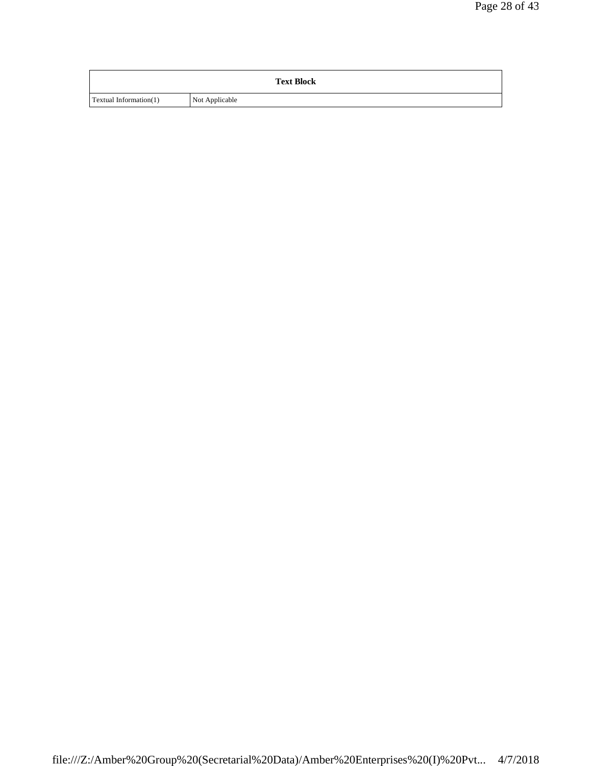|                        | <b>Text Block</b> |
|------------------------|-------------------|
| Textual Information(1) | Not Applicable    |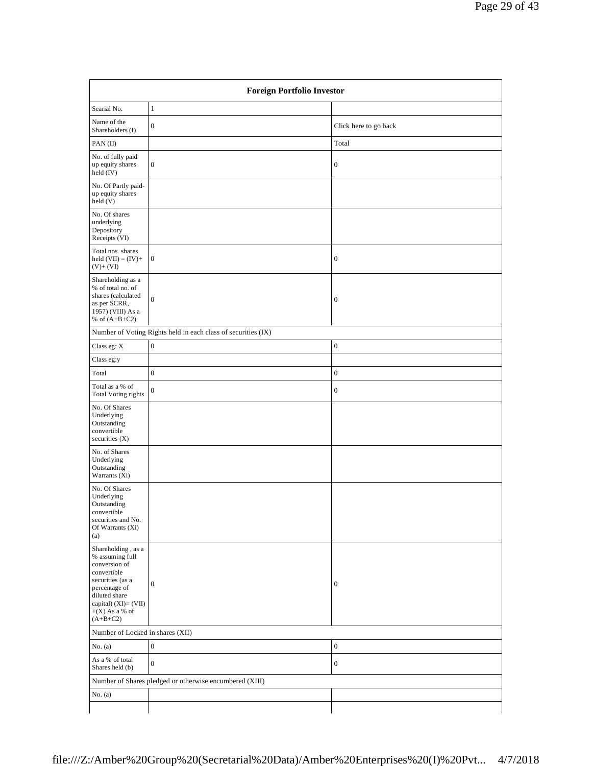| <b>Foreign Portfolio Investor</b>                                                                                                                                                     |                                                               |                       |
|---------------------------------------------------------------------------------------------------------------------------------------------------------------------------------------|---------------------------------------------------------------|-----------------------|
| Searial No.                                                                                                                                                                           | $\mathbf{1}$                                                  |                       |
| Name of the<br>Shareholders (I)                                                                                                                                                       | $\boldsymbol{0}$                                              | Click here to go back |
| PAN(II)                                                                                                                                                                               |                                                               | Total                 |
| No. of fully paid<br>up equity shares<br>held (IV)                                                                                                                                    | $\mathbf{0}$                                                  | $\boldsymbol{0}$      |
| No. Of Partly paid-<br>up equity shares<br>held(V)                                                                                                                                    |                                                               |                       |
| No. Of shares<br>underlying<br>Depository<br>Receipts (VI)                                                                                                                            |                                                               |                       |
| Total nos. shares<br>held $(VII) = (IV) +$<br>$(V)+(VI)$                                                                                                                              | $\mathbf{0}$                                                  | $\boldsymbol{0}$      |
| Shareholding as a<br>% of total no. of<br>shares (calculated<br>as per SCRR,<br>1957) (VIII) As a<br>% of $(A+B+C2)$                                                                  | $\boldsymbol{0}$                                              | $\boldsymbol{0}$      |
|                                                                                                                                                                                       | Number of Voting Rights held in each class of securities (IX) |                       |
| Class eg: X                                                                                                                                                                           | $\boldsymbol{0}$                                              | $\boldsymbol{0}$      |
| Class eg:y                                                                                                                                                                            |                                                               |                       |
| Total                                                                                                                                                                                 | $\boldsymbol{0}$                                              | $\boldsymbol{0}$      |
| Total as a % of<br><b>Total Voting rights</b>                                                                                                                                         | $\boldsymbol{0}$                                              | $\boldsymbol{0}$      |
| No. Of Shares<br>Underlying<br>Outstanding<br>convertible<br>securities (X)                                                                                                           |                                                               |                       |
| No. of Shares<br>Underlying<br>Outstanding<br>Warrants (Xi)                                                                                                                           |                                                               |                       |
| No. Of Shares<br>Underlying<br>Outstanding<br>convertible<br>securities and No.<br>Of Warrants (Xi)<br>(a)                                                                            |                                                               |                       |
| Shareholding, as a<br>% assuming full<br>conversion of<br>convertible<br>securities (as a<br>percentage of<br>diluted share<br>capital) (XI)= (VII)<br>$+(X)$ As a % of<br>$(A+B+C2)$ | $\mathbf{0}$                                                  | $\boldsymbol{0}$      |
|                                                                                                                                                                                       | Number of Locked in shares (XII)                              |                       |
| No. $(a)$                                                                                                                                                                             | $\boldsymbol{0}$                                              | $\boldsymbol{0}$      |
| As a % of total<br>Shares held (b)                                                                                                                                                    | $\boldsymbol{0}$                                              | $\boldsymbol{0}$      |
|                                                                                                                                                                                       | Number of Shares pledged or otherwise encumbered (XIII)       |                       |
| No. $(a)$                                                                                                                                                                             |                                                               |                       |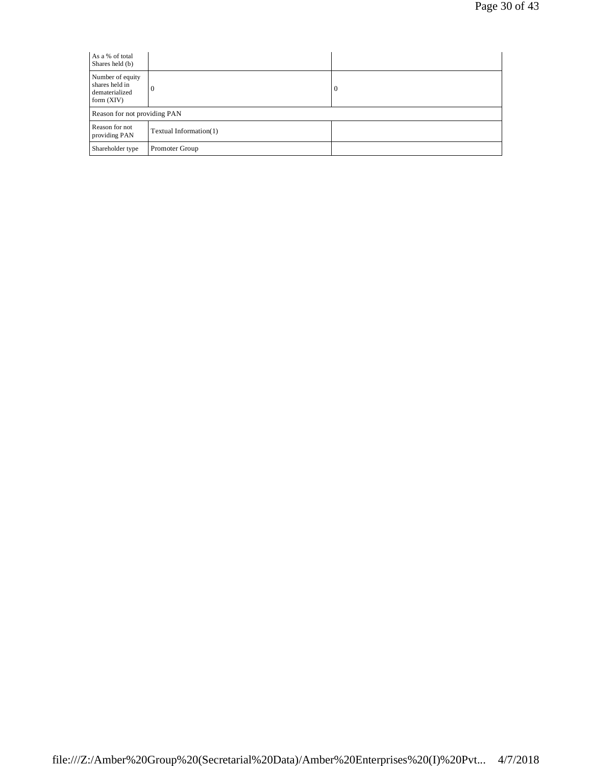| As a % of total<br>Shares held (b)                                   |                        |   |
|----------------------------------------------------------------------|------------------------|---|
| Number of equity<br>shares held in<br>dematerialized<br>form $(XIV)$ | $\theta$               | 0 |
| Reason for not providing PAN                                         |                        |   |
| Reason for not<br>providing PAN                                      | Textual Information(1) |   |
| Shareholder type                                                     | Promoter Group         |   |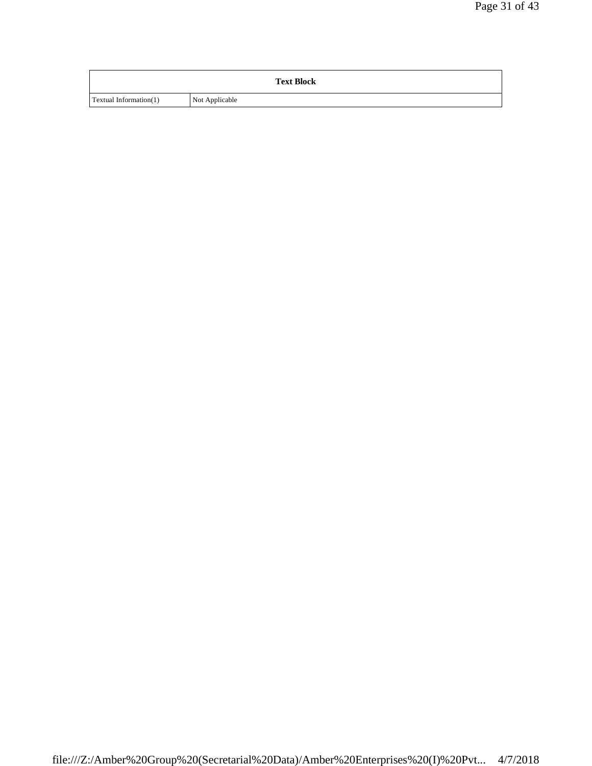|                               | <b>Text Block</b> |
|-------------------------------|-------------------|
| <b>Textual Information(1)</b> | Not Applicable    |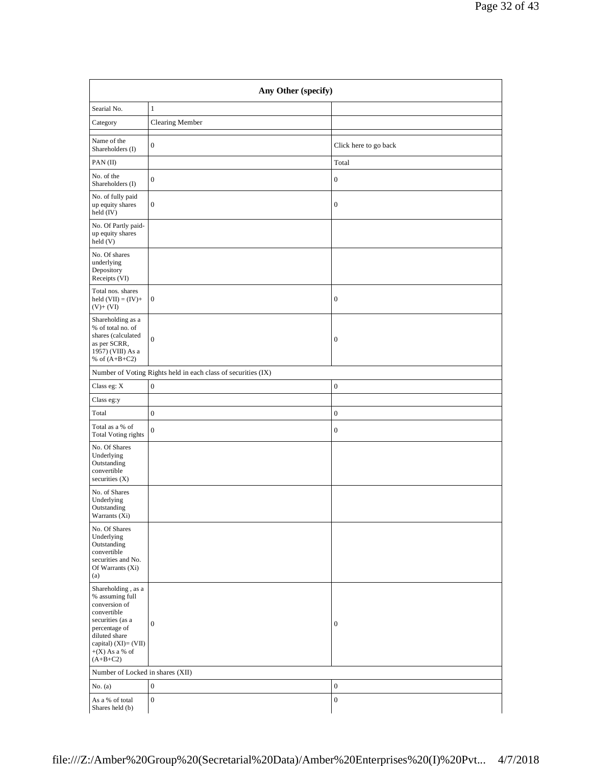| Any Other (specify)                                                                                                                                                                   |                                                               |                       |
|---------------------------------------------------------------------------------------------------------------------------------------------------------------------------------------|---------------------------------------------------------------|-----------------------|
| Searial No.                                                                                                                                                                           | $\mathbf{1}$                                                  |                       |
| Category                                                                                                                                                                              | Clearing Member                                               |                       |
| Name of the<br>Shareholders (I)                                                                                                                                                       | $\mathbf{0}$                                                  | Click here to go back |
| PAN(II)                                                                                                                                                                               |                                                               | Total                 |
| No. of the<br>Shareholders (I)                                                                                                                                                        | $\mathbf{0}$                                                  | $\boldsymbol{0}$      |
| No. of fully paid<br>up equity shares<br>held (IV)                                                                                                                                    | $\mathbf{0}$                                                  | $\boldsymbol{0}$      |
| No. Of Partly paid-<br>up equity shares<br>held (V)                                                                                                                                   |                                                               |                       |
| No. Of shares<br>underlying<br>Depository<br>Receipts (VI)                                                                                                                            |                                                               |                       |
| Total nos. shares<br>held $(VII) = (IV) +$<br>$(V)$ + $(VI)$                                                                                                                          | $\mathbf{0}$                                                  | $\boldsymbol{0}$      |
| Shareholding as a<br>% of total no. of<br>shares (calculated<br>as per SCRR,<br>1957) (VIII) As a<br>% of $(A+B+C2)$                                                                  | $\boldsymbol{0}$                                              | $\mathbf{0}$          |
|                                                                                                                                                                                       | Number of Voting Rights held in each class of securities (IX) |                       |
| Class eg: X                                                                                                                                                                           | $\boldsymbol{0}$                                              | $\boldsymbol{0}$      |
| Class eg:y                                                                                                                                                                            |                                                               |                       |
| Total                                                                                                                                                                                 | $\boldsymbol{0}$                                              | $\boldsymbol{0}$      |
| Total as a % of<br>Total Voting rights                                                                                                                                                | $\boldsymbol{0}$                                              | $\boldsymbol{0}$      |
| No. Of Shares<br>Underlying<br>Outstanding<br>convertible<br>securities $(X)$                                                                                                         |                                                               |                       |
| No. of Shares<br>Underlying<br>Outstanding<br>Warrants $(X_1)$                                                                                                                        |                                                               |                       |
| No. Of Shares<br>Underlying<br>Outstanding<br>convertible<br>securities and No.<br>Of Warrants (Xi)<br>(a)                                                                            |                                                               |                       |
| Shareholding, as a<br>% assuming full<br>conversion of<br>convertible<br>securities (as a<br>percentage of<br>diluted share<br>capital) (XI)= (VII)<br>$+(X)$ As a % of<br>$(A+B+C2)$ | $\mathbf{0}$                                                  | $\boldsymbol{0}$      |
| Number of Locked in shares (XII)                                                                                                                                                      |                                                               |                       |
| No. $(a)$                                                                                                                                                                             | $\boldsymbol{0}$                                              | $\boldsymbol{0}$      |
| As a % of total<br>Shares held (b)                                                                                                                                                    | $\mathbf{0}$                                                  | $\boldsymbol{0}$      |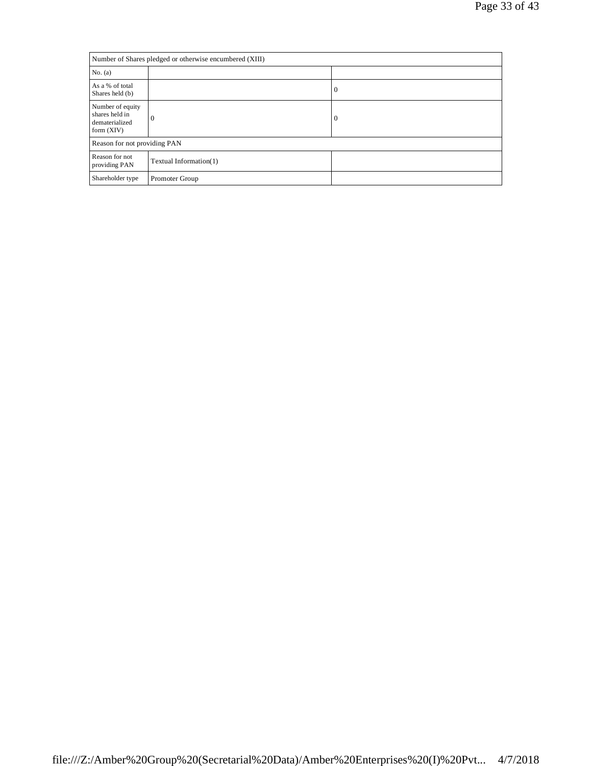| Number of Shares pledged or otherwise encumbered (XIII)              |                        |                  |
|----------------------------------------------------------------------|------------------------|------------------|
| No. (a)                                                              |                        |                  |
| As a % of total<br>Shares held (b)                                   |                        | $\boldsymbol{0}$ |
| Number of equity<br>shares held in<br>dematerialized<br>form $(XIV)$ | $\Omega$               | 0                |
| Reason for not providing PAN                                         |                        |                  |
| Reason for not<br>providing PAN                                      | Textual Information(1) |                  |
| Shareholder type                                                     | Promoter Group         |                  |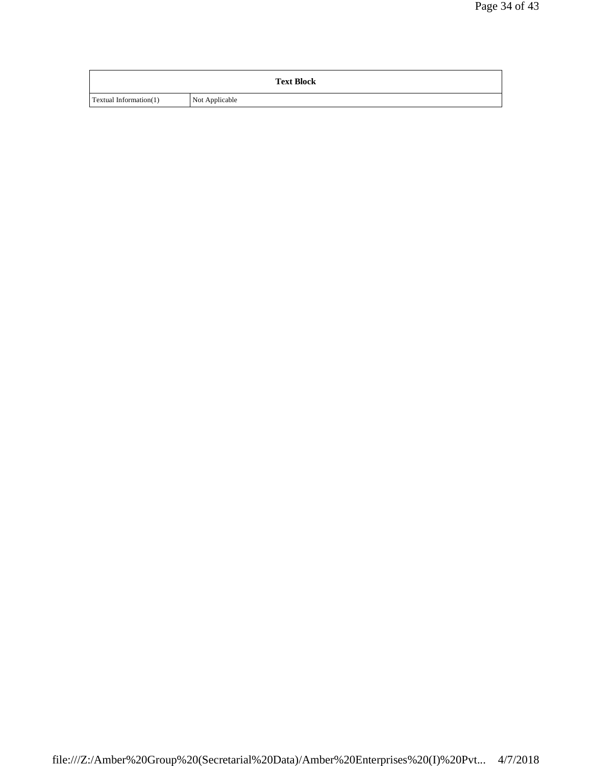|                        | <b>Text Block</b> |
|------------------------|-------------------|
| Textual Information(1) | Not Applicable    |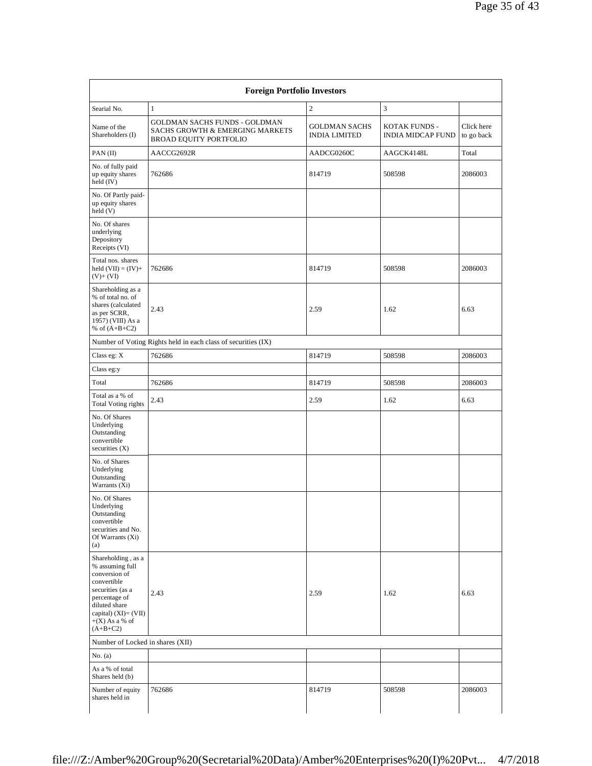| Searial No.                                                                                                                                                                              | $\mathbf{1}$                                                                               | $\sqrt{2}$                                   | $\mathfrak{Z}$                            |                          |
|------------------------------------------------------------------------------------------------------------------------------------------------------------------------------------------|--------------------------------------------------------------------------------------------|----------------------------------------------|-------------------------------------------|--------------------------|
| Name of the<br>Shareholders (I)                                                                                                                                                          | GOLDMAN SACHS FUNDS - GOLDMAN<br>SACHS GROWTH & EMERGING MARKETS<br>BROAD EQUITY PORTFOLIO | <b>GOLDMAN SACHS</b><br><b>INDIA LIMITED</b> | KOTAK FUNDS -<br><b>INDIA MIDCAP FUND</b> | Click here<br>to go back |
| PAN(II)                                                                                                                                                                                  | AACCG2692R                                                                                 | AADCG0260C                                   | AAGCK4148L                                | Total                    |
| No. of fully paid<br>up equity shares<br>held (IV)                                                                                                                                       | 762686                                                                                     | 814719                                       | 508598                                    | 2086003                  |
| No. Of Partly paid-<br>up equity shares<br>held (V)                                                                                                                                      |                                                                                            |                                              |                                           |                          |
| No. Of shares<br>underlying<br>Depository<br>Receipts (VI)                                                                                                                               |                                                                                            |                                              |                                           |                          |
| Total nos. shares<br>held $(VII) = (IV) +$<br>$(V)+(VI)$                                                                                                                                 | 762686                                                                                     | 814719                                       | 508598                                    | 2086003                  |
| Shareholding as a<br>% of total no. of<br>shares (calculated<br>as per SCRR,<br>1957) (VIII) As a<br>% of $(A+B+C2)$                                                                     | 2.43                                                                                       | 2.59                                         | 1.62                                      | 6.63                     |
|                                                                                                                                                                                          | Number of Voting Rights held in each class of securities (IX)                              |                                              |                                           |                          |
| Class eg: $X$                                                                                                                                                                            | 762686                                                                                     | 814719                                       | 508598                                    | 2086003                  |
| Class eg:y                                                                                                                                                                               |                                                                                            |                                              |                                           |                          |
| Total                                                                                                                                                                                    | 762686                                                                                     | 814719                                       | 508598                                    | 2086003                  |
| Total as a % of<br><b>Total Voting rights</b>                                                                                                                                            | 2.43                                                                                       | 2.59                                         | 1.62                                      | 6.63                     |
| No. Of Shares<br>Underlying<br>Outstanding<br>convertible<br>securities $(X)$                                                                                                            |                                                                                            |                                              |                                           |                          |
| No. of Shares<br>Underlying<br>Outstanding<br>Warrants $(X_i)$                                                                                                                           |                                                                                            |                                              |                                           |                          |
| No. Of Shares<br>Underlying<br>Outstanding<br>convertible<br>securities and No.<br>Of Warrants (Xi)<br>(a)                                                                               |                                                                                            |                                              |                                           |                          |
| Shareholding, as a<br>% assuming full<br>conversion of<br>convertible<br>securities (as a<br>percentage of<br>diluted share<br>capital) $(XI) = (VII)$<br>$+(X)$ As a % of<br>$(A+B+C2)$ | 2.43                                                                                       | 2.59                                         | 1.62                                      | 6.63                     |
| Number of Locked in shares (XII)                                                                                                                                                         |                                                                                            |                                              |                                           |                          |
| No. (a)                                                                                                                                                                                  |                                                                                            |                                              |                                           |                          |
| As a % of total<br>Shares held (b)                                                                                                                                                       |                                                                                            |                                              |                                           |                          |
| Number of equity                                                                                                                                                                         | 762686                                                                                     | 814719                                       | 508598                                    | 2086003                  |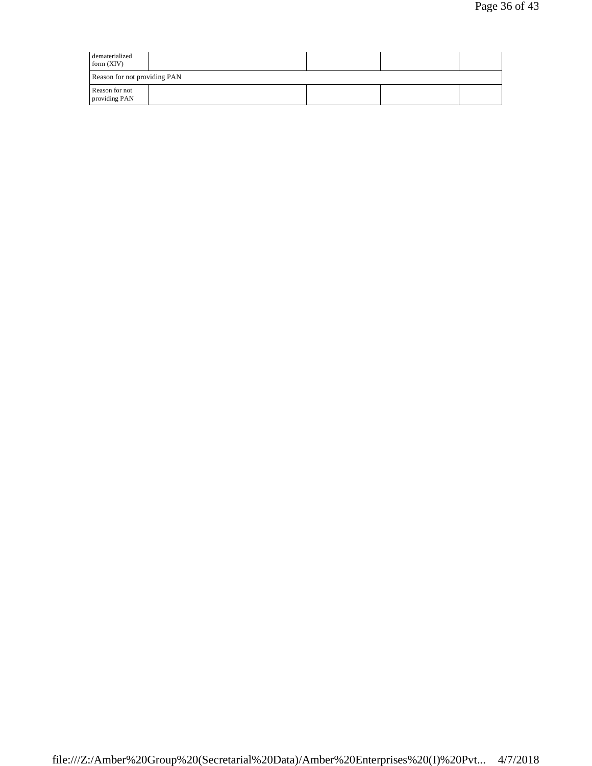| dematerialized<br>form $(XIV)$  |  |  |
|---------------------------------|--|--|
| Reason for not providing PAN    |  |  |
| Reason for not<br>providing PAN |  |  |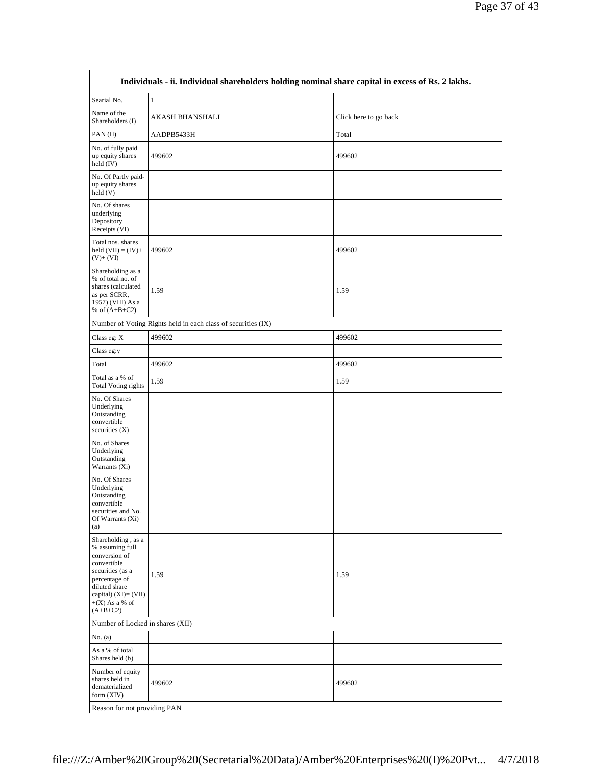| Searial No.                                                                                                                                                                              | $\,1$                                                         |                       |  |
|------------------------------------------------------------------------------------------------------------------------------------------------------------------------------------------|---------------------------------------------------------------|-----------------------|--|
| Name of the<br>Shareholders (I)                                                                                                                                                          | AKASH BHANSHALI                                               | Click here to go back |  |
| PAN(II)                                                                                                                                                                                  | AADPB5433H                                                    | Total                 |  |
| No. of fully paid<br>up equity shares<br>held (IV)                                                                                                                                       | 499602                                                        | 499602                |  |
| No. Of Partly paid-<br>up equity shares<br>held(V)                                                                                                                                       |                                                               |                       |  |
| No. Of shares<br>underlying<br>Depository<br>Receipts (VI)                                                                                                                               |                                                               |                       |  |
| Total nos. shares<br>held $(VII) = (IV) +$<br>$(V)+(VI)$                                                                                                                                 | 499602                                                        | 499602                |  |
| Shareholding as a<br>% of total no. of<br>shares (calculated<br>as per SCRR,<br>1957) (VIII) As a<br>% of $(A+B+C2)$                                                                     | 1.59                                                          | 1.59                  |  |
|                                                                                                                                                                                          | Number of Voting Rights held in each class of securities (IX) |                       |  |
| Class eg: $X$                                                                                                                                                                            | 499602<br>499602                                              |                       |  |
| Class eg:y                                                                                                                                                                               |                                                               |                       |  |
| Total                                                                                                                                                                                    | 499602                                                        | 499602                |  |
| Total as a % of<br><b>Total Voting rights</b>                                                                                                                                            | 1.59                                                          | 1.59                  |  |
| No. Of Shares<br>Underlying<br>Outstanding<br>convertible<br>securities $(X)$                                                                                                            |                                                               |                       |  |
| No. of Shares<br>Underlying<br>Outstanding<br>Warrants (Xi)                                                                                                                              |                                                               |                       |  |
| No. Of Shares<br>Underlying<br>Outstanding<br>convertible<br>securities and No.<br>Of Warrants (Xi)<br>(a)                                                                               |                                                               |                       |  |
| Shareholding, as a<br>% assuming full<br>conversion of<br>convertible<br>securities (as a<br>percentage of<br>diluted share<br>capital) $(XI) = (VII)$<br>$+(X)$ As a % of<br>$(A+B+C2)$ | 1.59                                                          | 1.59                  |  |
| Number of Locked in shares (XII)                                                                                                                                                         |                                                               |                       |  |
| No. $(a)$                                                                                                                                                                                |                                                               |                       |  |
| As a % of total<br>Shares held (b)                                                                                                                                                       |                                                               |                       |  |
| Number of equity<br>shares held in<br>dematerialized<br>form (XIV)                                                                                                                       | 499602                                                        | 499602                |  |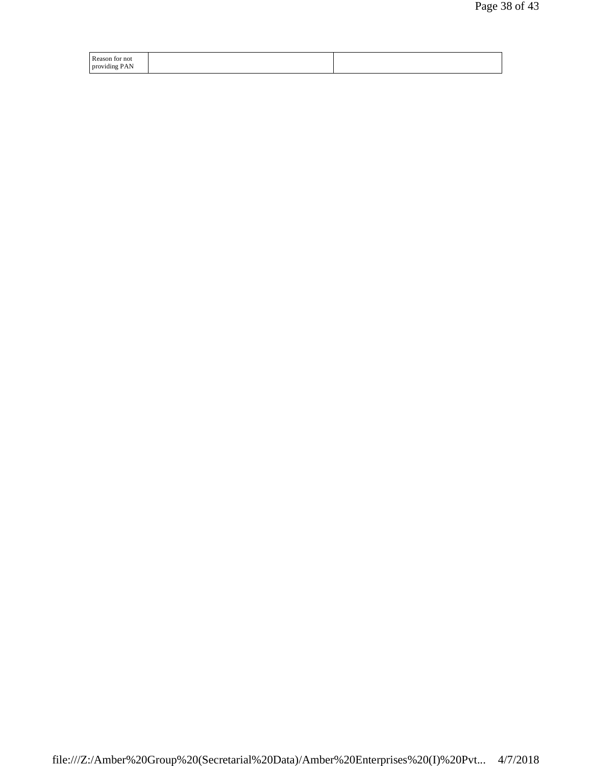| Reason for not |  |
|----------------|--|
| providing PAN  |  |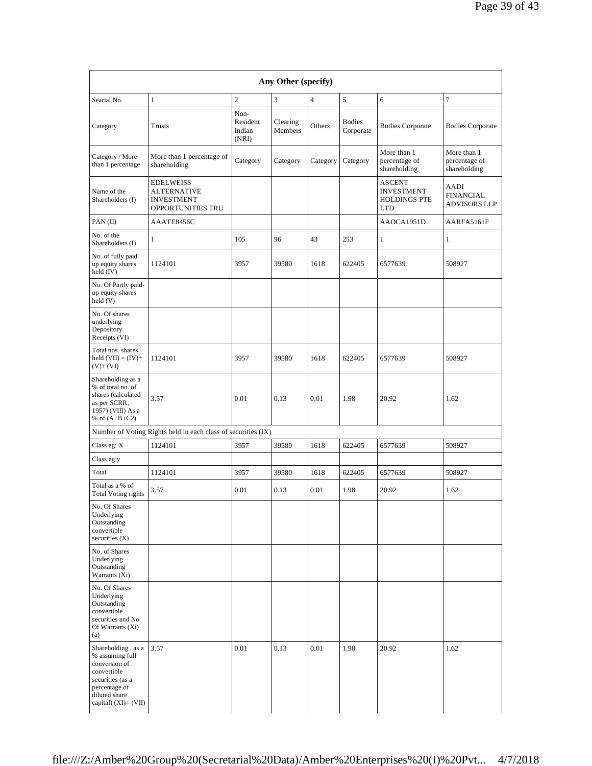| Searial No.<br>Category                                                                                                                                | $\mathbf{1}$<br>Trusts                                                           | $\mathbf{2}$<br>Non-<br>Resident<br>Indian<br>(NRI) | 3<br>Clearing<br>Members | $\overline{4}$<br>Others | 5<br><b>Bodies</b><br>Corporate | 6<br><b>Bodies Corporate</b>                                            | 7<br><b>Bodies Corporate</b>                    |
|--------------------------------------------------------------------------------------------------------------------------------------------------------|----------------------------------------------------------------------------------|-----------------------------------------------------|--------------------------|--------------------------|---------------------------------|-------------------------------------------------------------------------|-------------------------------------------------|
| Category / More<br>than 1 percentage                                                                                                                   | More than 1 percentage of<br>shareholding                                        | Category                                            | Category                 | Category                 | Category                        | More than 1<br>percentage of<br>shareholding                            | More than 1<br>percentage of<br>shareholding    |
| Name of the<br>Shareholders (I)                                                                                                                        | <b>EDELWEISS</b><br><b>ALTERNATIVE</b><br><b>INVESTMENT</b><br>OPPORTUNITIES TRU |                                                     |                          |                          |                                 | <b>ASCENT</b><br><b>INVESTMENT</b><br><b>HOLDINGS PTE</b><br><b>LTD</b> | AADI<br><b>FINANCIAL</b><br><b>ADVISORS LLP</b> |
| PAN(II)                                                                                                                                                | AAATE8456C                                                                       |                                                     |                          |                          |                                 | AAOCA1951D                                                              | AARFA5161F                                      |
| No. of the<br>Shareholders (I)                                                                                                                         | $\mathbf{1}$                                                                     | 105                                                 | 96                       | 43                       | 253                             | $\mathbf{1}$                                                            | $\mathbf{1}$                                    |
| No. of fully paid<br>up equity shares<br>held (IV)                                                                                                     | 1124101                                                                          | 3957                                                | 39580                    | 1618                     | 622405                          | 6577639                                                                 | 508927                                          |
| No. Of Partly paid-<br>up equity shares<br>held (V)                                                                                                    |                                                                                  |                                                     |                          |                          |                                 |                                                                         |                                                 |
| No. Of shares<br>underlying<br>Depository<br>Receipts (VI)                                                                                             |                                                                                  |                                                     |                          |                          |                                 |                                                                         |                                                 |
| Total nos. shares<br>held $(VII) = (IV) +$<br>$(V)+(VI)$                                                                                               | 1124101                                                                          | 3957                                                | 39580                    | 1618                     | 622405                          | 6577639                                                                 | 508927                                          |
| Shareholding as a<br>% of total no. of<br>shares (calculated<br>as per SCRR,<br>1957) (VIII) As a<br>% of $(A+B+C2)$                                   | 3.57                                                                             | 0.01                                                | 0.13                     | 0.01                     | 1.98                            | 20.92                                                                   | 1.62                                            |
|                                                                                                                                                        | Number of Voting Rights held in each class of securities (IX)                    |                                                     |                          |                          |                                 |                                                                         |                                                 |
| Class eg: $\mathbf X$                                                                                                                                  | 1124101                                                                          | 3957                                                | 39580                    | 1618                     | 622405                          | 6577639                                                                 | 508927                                          |
| Class eg:y                                                                                                                                             |                                                                                  |                                                     |                          |                          |                                 |                                                                         |                                                 |
| Total                                                                                                                                                  | 1124101                                                                          | 3957                                                | 39580                    | 1618                     | 622405                          | 6577639                                                                 | 508927                                          |
| Total as a % of<br><b>Total Voting rights</b>                                                                                                          | 3.57                                                                             | 0.01                                                | 0.13                     | 0.01                     | 1.98                            | 20.92                                                                   | 1.62                                            |
| No. Of Shares<br>Underlying<br>Outstanding<br>convertible<br>securities $(X)$                                                                          |                                                                                  |                                                     |                          |                          |                                 |                                                                         |                                                 |
| No. of Shares<br>Underlying<br>Outstanding<br>Warrants (Xi)                                                                                            |                                                                                  |                                                     |                          |                          |                                 |                                                                         |                                                 |
| No. Of Shares<br>Underlying<br>Outstanding<br>convertible<br>securities and No.<br>Of Warrants (Xi)<br>(a)                                             |                                                                                  |                                                     |                          |                          |                                 |                                                                         |                                                 |
| Shareholding, as a<br>% assuming full<br>conversion of<br>convertible<br>securities (as a<br>percentage of<br>diluted share<br>capital) $(XI) = (VII)$ | 3.57                                                                             | 0.01                                                | 0.13                     | 0.01                     | 1.98                            | 20.92                                                                   | 1.62                                            |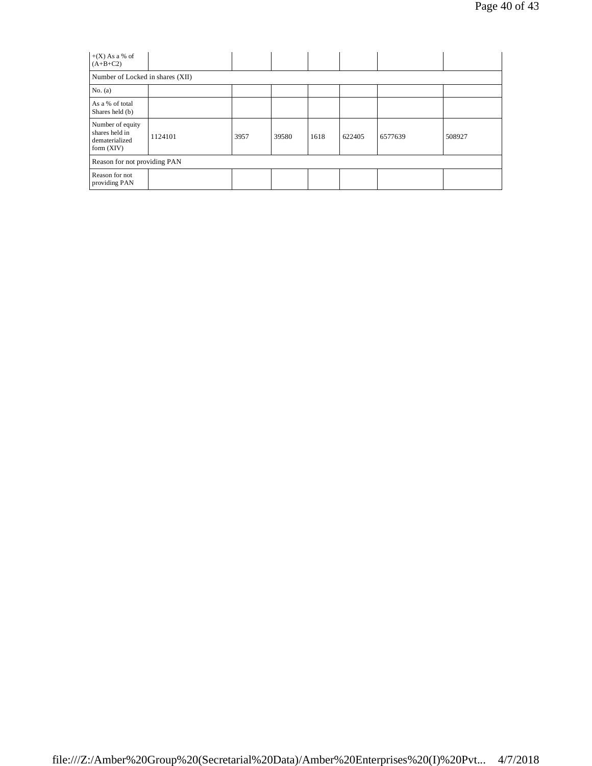| $+(X)$ As a % of<br>$(A+B+C2)$                                       |         |      |       |      |        |         |        |
|----------------------------------------------------------------------|---------|------|-------|------|--------|---------|--------|
| Number of Locked in shares (XII)                                     |         |      |       |      |        |         |        |
| No. $(a)$                                                            |         |      |       |      |        |         |        |
| As a % of total<br>Shares held (b)                                   |         |      |       |      |        |         |        |
| Number of equity<br>shares held in<br>dematerialized<br>form $(XIV)$ | 1124101 | 3957 | 39580 | 1618 | 622405 | 6577639 | 508927 |
| Reason for not providing PAN                                         |         |      |       |      |        |         |        |
| Reason for not<br>providing PAN                                      |         |      |       |      |        |         |        |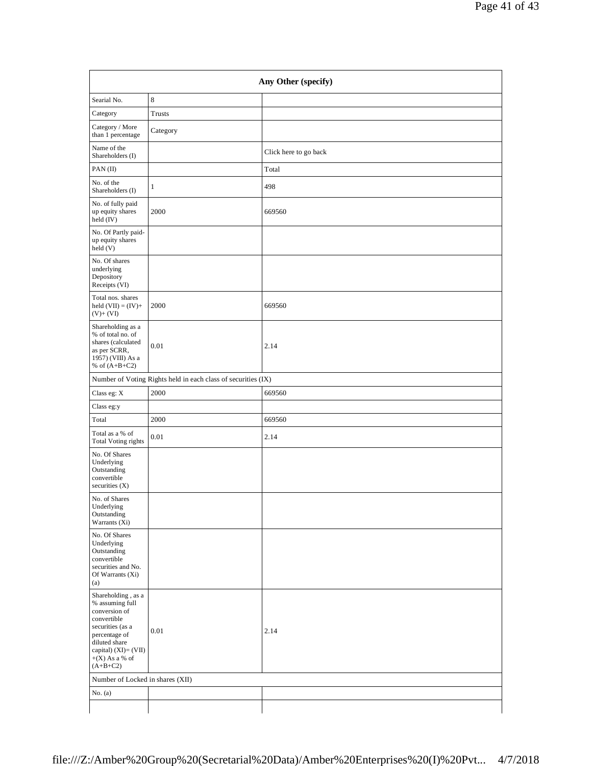| Any Other (specify)                                                                                                                                                                   |                                                               |                       |  |  |  |
|---------------------------------------------------------------------------------------------------------------------------------------------------------------------------------------|---------------------------------------------------------------|-----------------------|--|--|--|
| Searial No.                                                                                                                                                                           | $\,$ 8 $\,$                                                   |                       |  |  |  |
| Category                                                                                                                                                                              | Trusts                                                        |                       |  |  |  |
| Category / More<br>than 1 percentage                                                                                                                                                  | Category                                                      |                       |  |  |  |
| Name of the<br>Shareholders (I)                                                                                                                                                       |                                                               | Click here to go back |  |  |  |
| PAN(II)                                                                                                                                                                               |                                                               | Total                 |  |  |  |
| No. of the<br>Shareholders (I)                                                                                                                                                        | $\mathbf{1}$                                                  | 498                   |  |  |  |
| No. of fully paid<br>up equity shares<br>held (IV)                                                                                                                                    | 2000                                                          | 669560                |  |  |  |
| No. Of Partly paid-<br>up equity shares<br>held (V)                                                                                                                                   |                                                               |                       |  |  |  |
| No. Of shares<br>underlying<br>Depository<br>Receipts (VI)                                                                                                                            |                                                               |                       |  |  |  |
| Total nos. shares<br>held $(VII) = (IV) +$<br>$(V)+(VI)$                                                                                                                              | 2000                                                          | 669560                |  |  |  |
| Shareholding as a<br>% of total no. of<br>shares (calculated<br>as per SCRR,<br>1957) (VIII) As a<br>% of $(A+B+C2)$                                                                  | 0.01                                                          | 2.14                  |  |  |  |
|                                                                                                                                                                                       | Number of Voting Rights held in each class of securities (IX) |                       |  |  |  |
| Class eg: $\mathbf X$                                                                                                                                                                 | 2000                                                          | 669560                |  |  |  |
| Class eg:y                                                                                                                                                                            |                                                               |                       |  |  |  |
| Total                                                                                                                                                                                 | 2000                                                          | 669560                |  |  |  |
| Total as a % of<br><b>Total Voting rights</b>                                                                                                                                         | 0.01                                                          | 2.14                  |  |  |  |
| No. Of Shares<br>Underlying<br>Outstanding<br>convertible<br>securities $(X)$                                                                                                         |                                                               |                       |  |  |  |
| No. of Shares<br>Underlying<br>Outstanding<br>Warrants (Xi)                                                                                                                           |                                                               |                       |  |  |  |
| No. Of Shares<br>Underlying<br>Outstanding<br>convertible<br>securities and No.<br>Of Warrants (Xi)<br>(a)                                                                            |                                                               |                       |  |  |  |
| Shareholding, as a<br>% assuming full<br>conversion of<br>convertible<br>securities (as a<br>percentage of<br>diluted share<br>capital) (XI)= (VII)<br>$+(X)$ As a % of<br>$(A+B+C2)$ | $0.01\,$                                                      | 2.14                  |  |  |  |
| Number of Locked in shares (XII)                                                                                                                                                      |                                                               |                       |  |  |  |
| No. $(a)$                                                                                                                                                                             |                                                               |                       |  |  |  |
|                                                                                                                                                                                       |                                                               |                       |  |  |  |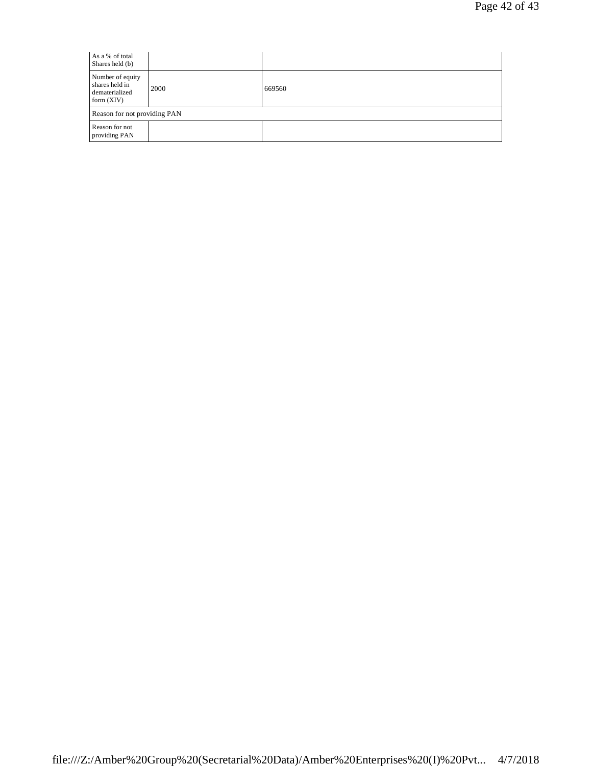| As a % of total<br>Shares held (b)                                   |                              |        |  |  |
|----------------------------------------------------------------------|------------------------------|--------|--|--|
| Number of equity<br>shares held in<br>dematerialized<br>form $(XIV)$ | 2000                         | 669560 |  |  |
|                                                                      | Reason for not providing PAN |        |  |  |
| Reason for not<br>providing PAN                                      |                              |        |  |  |